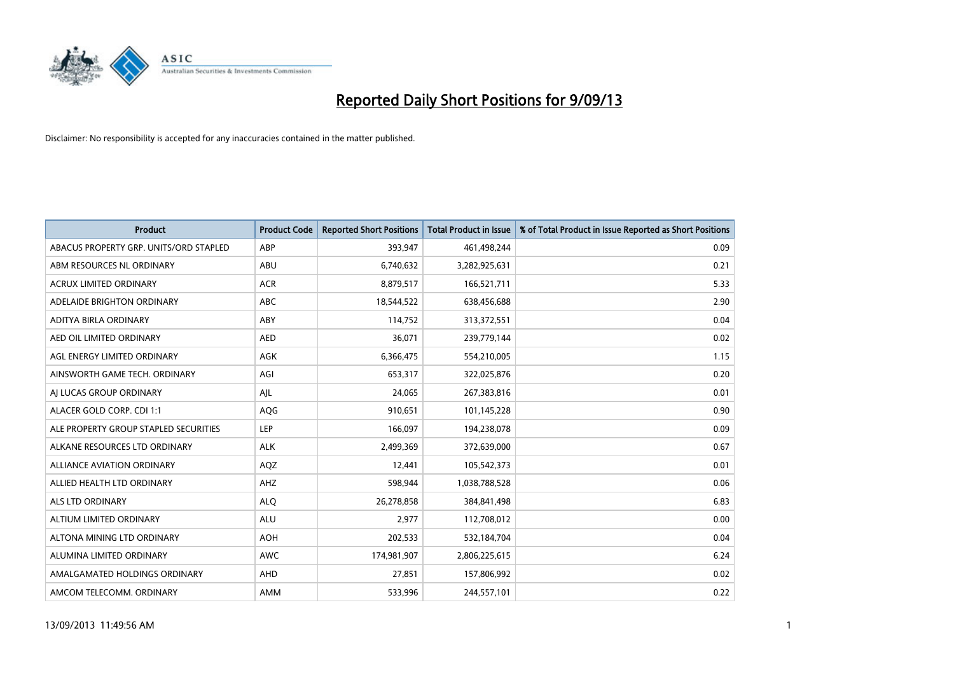

| <b>Product</b>                         | <b>Product Code</b> | <b>Reported Short Positions</b> | <b>Total Product in Issue</b> | % of Total Product in Issue Reported as Short Positions |
|----------------------------------------|---------------------|---------------------------------|-------------------------------|---------------------------------------------------------|
| ABACUS PROPERTY GRP. UNITS/ORD STAPLED | ABP                 | 393,947                         | 461,498,244                   | 0.09                                                    |
| ABM RESOURCES NL ORDINARY              | ABU                 | 6,740,632                       | 3,282,925,631                 | 0.21                                                    |
| <b>ACRUX LIMITED ORDINARY</b>          | <b>ACR</b>          | 8,879,517                       | 166,521,711                   | 5.33                                                    |
| ADELAIDE BRIGHTON ORDINARY             | <b>ABC</b>          | 18,544,522                      | 638,456,688                   | 2.90                                                    |
| ADITYA BIRLA ORDINARY                  | ABY                 | 114,752                         | 313,372,551                   | 0.04                                                    |
| AED OIL LIMITED ORDINARY               | <b>AED</b>          | 36,071                          | 239,779,144                   | 0.02                                                    |
| AGL ENERGY LIMITED ORDINARY            | AGK                 | 6,366,475                       | 554,210,005                   | 1.15                                                    |
| AINSWORTH GAME TECH. ORDINARY          | AGI                 | 653,317                         | 322,025,876                   | 0.20                                                    |
| AI LUCAS GROUP ORDINARY                | AJL                 | 24,065                          | 267,383,816                   | 0.01                                                    |
| ALACER GOLD CORP. CDI 1:1              | AQG                 | 910,651                         | 101,145,228                   | 0.90                                                    |
| ALE PROPERTY GROUP STAPLED SECURITIES  | <b>LEP</b>          | 166,097                         | 194,238,078                   | 0.09                                                    |
| ALKANE RESOURCES LTD ORDINARY          | <b>ALK</b>          | 2,499,369                       | 372,639,000                   | 0.67                                                    |
| <b>ALLIANCE AVIATION ORDINARY</b>      | AQZ                 | 12,441                          | 105,542,373                   | 0.01                                                    |
| ALLIED HEALTH LTD ORDINARY             | AHZ                 | 598,944                         | 1,038,788,528                 | 0.06                                                    |
| ALS LTD ORDINARY                       | <b>ALQ</b>          | 26,278,858                      | 384,841,498                   | 6.83                                                    |
| ALTIUM LIMITED ORDINARY                | <b>ALU</b>          | 2,977                           | 112,708,012                   | 0.00                                                    |
| ALTONA MINING LTD ORDINARY             | <b>AOH</b>          | 202,533                         | 532,184,704                   | 0.04                                                    |
| ALUMINA LIMITED ORDINARY               | <b>AWC</b>          | 174,981,907                     | 2,806,225,615                 | 6.24                                                    |
| AMALGAMATED HOLDINGS ORDINARY          | AHD                 | 27,851                          | 157,806,992                   | 0.02                                                    |
| AMCOM TELECOMM. ORDINARY               | AMM                 | 533,996                         | 244,557,101                   | 0.22                                                    |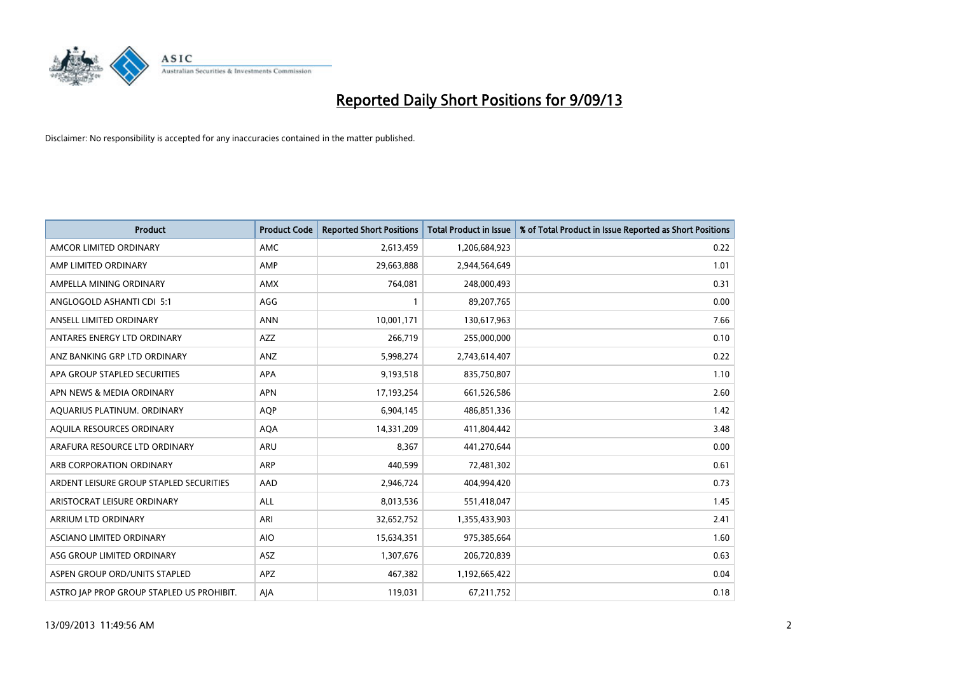

| <b>Product</b>                            | <b>Product Code</b> | <b>Reported Short Positions</b> | <b>Total Product in Issue</b> | % of Total Product in Issue Reported as Short Positions |
|-------------------------------------------|---------------------|---------------------------------|-------------------------------|---------------------------------------------------------|
| AMCOR LIMITED ORDINARY                    | AMC                 | 2,613,459                       | 1,206,684,923                 | 0.22                                                    |
| AMP LIMITED ORDINARY                      | AMP                 | 29,663,888                      | 2,944,564,649                 | 1.01                                                    |
| AMPELLA MINING ORDINARY                   | <b>AMX</b>          | 764,081                         | 248,000,493                   | 0.31                                                    |
| ANGLOGOLD ASHANTI CDI 5:1                 | AGG                 | 1                               | 89,207,765                    | 0.00                                                    |
| ANSELL LIMITED ORDINARY                   | <b>ANN</b>          | 10,001,171                      | 130,617,963                   | 7.66                                                    |
| ANTARES ENERGY LTD ORDINARY               | AZZ                 | 266,719                         | 255,000,000                   | 0.10                                                    |
| ANZ BANKING GRP LTD ORDINARY              | ANZ                 | 5,998,274                       | 2,743,614,407                 | 0.22                                                    |
| APA GROUP STAPLED SECURITIES              | <b>APA</b>          | 9,193,518                       | 835,750,807                   | 1.10                                                    |
| APN NEWS & MEDIA ORDINARY                 | <b>APN</b>          | 17,193,254                      | 661,526,586                   | 2.60                                                    |
| AOUARIUS PLATINUM. ORDINARY               | <b>AOP</b>          | 6,904,145                       | 486,851,336                   | 1.42                                                    |
| AQUILA RESOURCES ORDINARY                 | <b>AQA</b>          | 14,331,209                      | 411,804,442                   | 3.48                                                    |
| ARAFURA RESOURCE LTD ORDINARY             | ARU                 | 8,367                           | 441,270,644                   | 0.00                                                    |
| ARB CORPORATION ORDINARY                  | <b>ARP</b>          | 440.599                         | 72,481,302                    | 0.61                                                    |
| ARDENT LEISURE GROUP STAPLED SECURITIES   | AAD                 | 2,946,724                       | 404,994,420                   | 0.73                                                    |
| ARISTOCRAT LEISURE ORDINARY               | ALL                 | 8,013,536                       | 551,418,047                   | 1.45                                                    |
| ARRIUM LTD ORDINARY                       | ARI                 | 32,652,752                      | 1,355,433,903                 | 2.41                                                    |
| ASCIANO LIMITED ORDINARY                  | <b>AIO</b>          | 15,634,351                      | 975,385,664                   | 1.60                                                    |
| ASG GROUP LIMITED ORDINARY                | ASZ                 | 1,307,676                       | 206,720,839                   | 0.63                                                    |
| ASPEN GROUP ORD/UNITS STAPLED             | <b>APZ</b>          | 467,382                         | 1,192,665,422                 | 0.04                                                    |
| ASTRO JAP PROP GROUP STAPLED US PROHIBIT. | AJA                 | 119,031                         | 67,211,752                    | 0.18                                                    |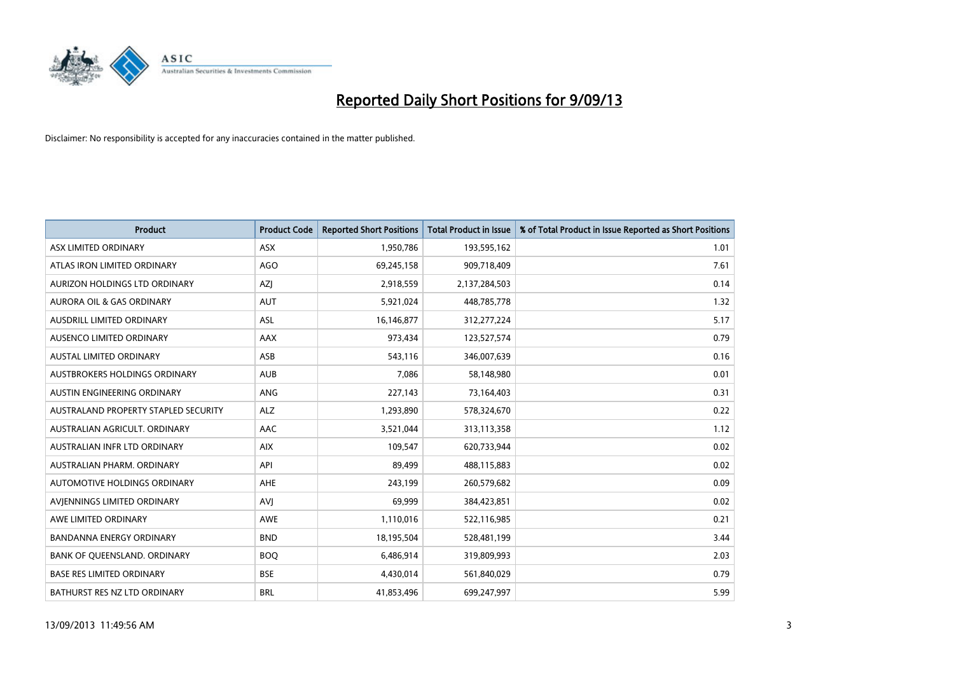

| <b>Product</b>                       | <b>Product Code</b> | <b>Reported Short Positions</b> | <b>Total Product in Issue</b> | % of Total Product in Issue Reported as Short Positions |
|--------------------------------------|---------------------|---------------------------------|-------------------------------|---------------------------------------------------------|
| ASX LIMITED ORDINARY                 | <b>ASX</b>          | 1,950,786                       | 193,595,162                   | 1.01                                                    |
| ATLAS IRON LIMITED ORDINARY          | <b>AGO</b>          | 69,245,158                      | 909,718,409                   | 7.61                                                    |
| AURIZON HOLDINGS LTD ORDINARY        | AZJ                 | 2,918,559                       | 2,137,284,503                 | 0.14                                                    |
| AURORA OIL & GAS ORDINARY            | <b>AUT</b>          | 5,921,024                       | 448,785,778                   | 1.32                                                    |
| <b>AUSDRILL LIMITED ORDINARY</b>     | ASL                 | 16,146,877                      | 312,277,224                   | 5.17                                                    |
| AUSENCO LIMITED ORDINARY             | <b>AAX</b>          | 973,434                         | 123,527,574                   | 0.79                                                    |
| <b>AUSTAL LIMITED ORDINARY</b>       | ASB                 | 543,116                         | 346,007,639                   | 0.16                                                    |
| AUSTBROKERS HOLDINGS ORDINARY        | <b>AUB</b>          | 7,086                           | 58,148,980                    | 0.01                                                    |
| AUSTIN ENGINEERING ORDINARY          | ANG                 | 227,143                         | 73,164,403                    | 0.31                                                    |
| AUSTRALAND PROPERTY STAPLED SECURITY | <b>ALZ</b>          | 1,293,890                       | 578,324,670                   | 0.22                                                    |
| AUSTRALIAN AGRICULT. ORDINARY        | AAC                 | 3,521,044                       | 313,113,358                   | 1.12                                                    |
| AUSTRALIAN INFR LTD ORDINARY         | <b>AIX</b>          | 109,547                         | 620,733,944                   | 0.02                                                    |
| AUSTRALIAN PHARM. ORDINARY           | API                 | 89,499                          | 488,115,883                   | 0.02                                                    |
| AUTOMOTIVE HOLDINGS ORDINARY         | AHE                 | 243,199                         | 260,579,682                   | 0.09                                                    |
| AVIENNINGS LIMITED ORDINARY          | <b>AVJ</b>          | 69,999                          | 384,423,851                   | 0.02                                                    |
| AWE LIMITED ORDINARY                 | AWE                 | 1,110,016                       | 522,116,985                   | 0.21                                                    |
| BANDANNA ENERGY ORDINARY             | <b>BND</b>          | 18,195,504                      | 528,481,199                   | 3.44                                                    |
| BANK OF QUEENSLAND. ORDINARY         | <b>BOQ</b>          | 6,486,914                       | 319,809,993                   | 2.03                                                    |
| <b>BASE RES LIMITED ORDINARY</b>     | <b>BSE</b>          | 4,430,014                       | 561,840,029                   | 0.79                                                    |
| BATHURST RES NZ LTD ORDINARY         | <b>BRL</b>          | 41,853,496                      | 699,247,997                   | 5.99                                                    |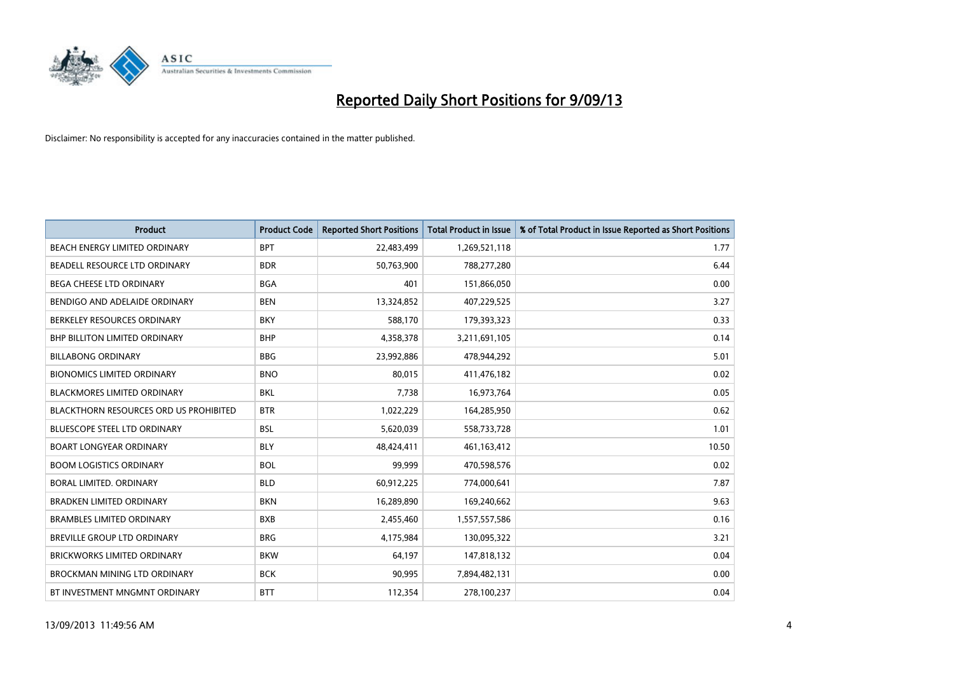

| <b>Product</b>                                | <b>Product Code</b> | <b>Reported Short Positions</b> | <b>Total Product in Issue</b> | % of Total Product in Issue Reported as Short Positions |
|-----------------------------------------------|---------------------|---------------------------------|-------------------------------|---------------------------------------------------------|
| BEACH ENERGY LIMITED ORDINARY                 | <b>BPT</b>          | 22,483,499                      | 1,269,521,118                 | 1.77                                                    |
| BEADELL RESOURCE LTD ORDINARY                 | <b>BDR</b>          | 50,763,900                      | 788,277,280                   | 6.44                                                    |
| BEGA CHEESE LTD ORDINARY                      | <b>BGA</b>          | 401                             | 151,866,050                   | 0.00                                                    |
| BENDIGO AND ADELAIDE ORDINARY                 | <b>BEN</b>          | 13,324,852                      | 407,229,525                   | 3.27                                                    |
| BERKELEY RESOURCES ORDINARY                   | <b>BKY</b>          | 588,170                         | 179,393,323                   | 0.33                                                    |
| <b>BHP BILLITON LIMITED ORDINARY</b>          | <b>BHP</b>          | 4,358,378                       | 3,211,691,105                 | 0.14                                                    |
| <b>BILLABONG ORDINARY</b>                     | <b>BBG</b>          | 23,992,886                      | 478,944,292                   | 5.01                                                    |
| <b>BIONOMICS LIMITED ORDINARY</b>             | <b>BNO</b>          | 80,015                          | 411,476,182                   | 0.02                                                    |
| <b>BLACKMORES LIMITED ORDINARY</b>            | <b>BKL</b>          | 7,738                           | 16,973,764                    | 0.05                                                    |
| <b>BLACKTHORN RESOURCES ORD US PROHIBITED</b> | <b>BTR</b>          | 1,022,229                       | 164,285,950                   | 0.62                                                    |
| BLUESCOPE STEEL LTD ORDINARY                  | <b>BSL</b>          | 5,620,039                       | 558,733,728                   | 1.01                                                    |
| <b>BOART LONGYEAR ORDINARY</b>                | <b>BLY</b>          | 48,424,411                      | 461,163,412                   | 10.50                                                   |
| <b>BOOM LOGISTICS ORDINARY</b>                | <b>BOL</b>          | 99,999                          | 470,598,576                   | 0.02                                                    |
| <b>BORAL LIMITED, ORDINARY</b>                | <b>BLD</b>          | 60,912,225                      | 774,000,641                   | 7.87                                                    |
| <b>BRADKEN LIMITED ORDINARY</b>               | <b>BKN</b>          | 16,289,890                      | 169,240,662                   | 9.63                                                    |
| <b>BRAMBLES LIMITED ORDINARY</b>              | <b>BXB</b>          | 2,455,460                       | 1,557,557,586                 | 0.16                                                    |
| BREVILLE GROUP LTD ORDINARY                   | <b>BRG</b>          | 4,175,984                       | 130,095,322                   | 3.21                                                    |
| <b>BRICKWORKS LIMITED ORDINARY</b>            | <b>BKW</b>          | 64,197                          | 147,818,132                   | 0.04                                                    |
| <b>BROCKMAN MINING LTD ORDINARY</b>           | <b>BCK</b>          | 90,995                          | 7,894,482,131                 | 0.00                                                    |
| BT INVESTMENT MNGMNT ORDINARY                 | <b>BTT</b>          | 112,354                         | 278,100,237                   | 0.04                                                    |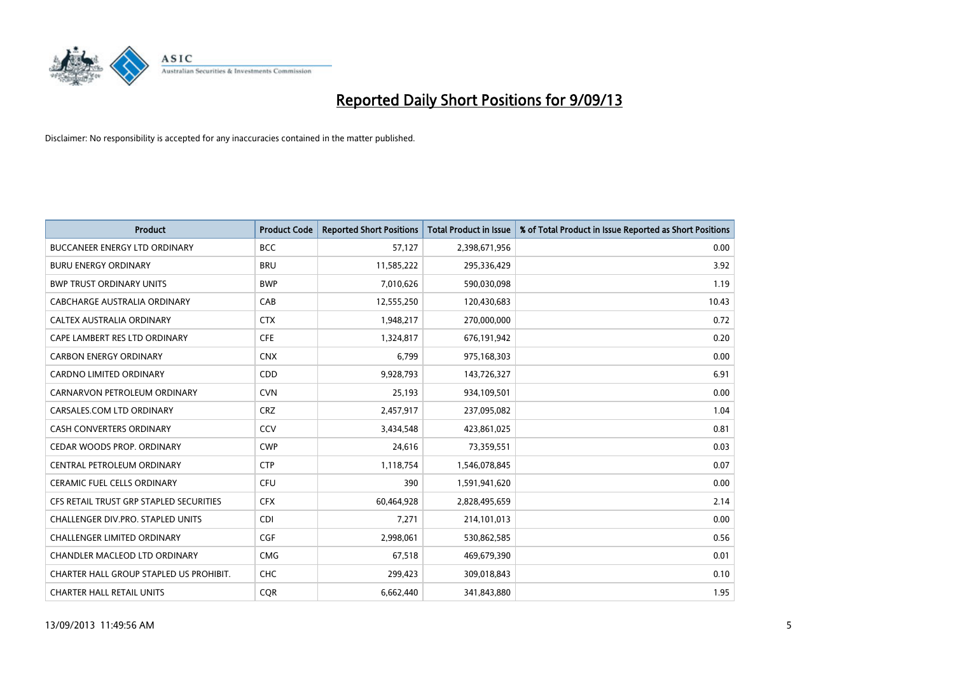

| <b>Product</b>                          | <b>Product Code</b> | <b>Reported Short Positions</b> | <b>Total Product in Issue</b> | % of Total Product in Issue Reported as Short Positions |
|-----------------------------------------|---------------------|---------------------------------|-------------------------------|---------------------------------------------------------|
| <b>BUCCANEER ENERGY LTD ORDINARY</b>    | <b>BCC</b>          | 57,127                          | 2,398,671,956                 | 0.00                                                    |
| <b>BURU ENERGY ORDINARY</b>             | <b>BRU</b>          | 11,585,222                      | 295,336,429                   | 3.92                                                    |
| <b>BWP TRUST ORDINARY UNITS</b>         | <b>BWP</b>          | 7,010,626                       | 590,030,098                   | 1.19                                                    |
| CABCHARGE AUSTRALIA ORDINARY            | CAB                 | 12,555,250                      | 120,430,683                   | 10.43                                                   |
| CALTEX AUSTRALIA ORDINARY               | <b>CTX</b>          | 1,948,217                       | 270,000,000                   | 0.72                                                    |
| CAPE LAMBERT RES LTD ORDINARY           | <b>CFE</b>          | 1,324,817                       | 676,191,942                   | 0.20                                                    |
| <b>CARBON ENERGY ORDINARY</b>           | <b>CNX</b>          | 6,799                           | 975,168,303                   | 0.00                                                    |
| CARDNO LIMITED ORDINARY                 | CDD                 | 9,928,793                       | 143,726,327                   | 6.91                                                    |
| CARNARVON PETROLEUM ORDINARY            | <b>CVN</b>          | 25,193                          | 934,109,501                   | 0.00                                                    |
| CARSALES.COM LTD ORDINARY               | <b>CRZ</b>          | 2,457,917                       | 237,095,082                   | 1.04                                                    |
| CASH CONVERTERS ORDINARY                | CCV                 | 3,434,548                       | 423,861,025                   | 0.81                                                    |
| CEDAR WOODS PROP. ORDINARY              | <b>CWP</b>          | 24,616                          | 73,359,551                    | 0.03                                                    |
| CENTRAL PETROLEUM ORDINARY              | <b>CTP</b>          | 1,118,754                       | 1,546,078,845                 | 0.07                                                    |
| <b>CERAMIC FUEL CELLS ORDINARY</b>      | <b>CFU</b>          | 390                             | 1,591,941,620                 | 0.00                                                    |
| CFS RETAIL TRUST GRP STAPLED SECURITIES | <b>CFX</b>          | 60,464,928                      | 2,828,495,659                 | 2.14                                                    |
| CHALLENGER DIV.PRO. STAPLED UNITS       | <b>CDI</b>          | 7,271                           | 214,101,013                   | 0.00                                                    |
| CHALLENGER LIMITED ORDINARY             | <b>CGF</b>          | 2,998,061                       | 530,862,585                   | 0.56                                                    |
| CHANDLER MACLEOD LTD ORDINARY           | <b>CMG</b>          | 67,518                          | 469,679,390                   | 0.01                                                    |
| CHARTER HALL GROUP STAPLED US PROHIBIT. | <b>CHC</b>          | 299,423                         | 309,018,843                   | 0.10                                                    |
| <b>CHARTER HALL RETAIL UNITS</b>        | <b>CQR</b>          | 6,662,440                       | 341,843,880                   | 1.95                                                    |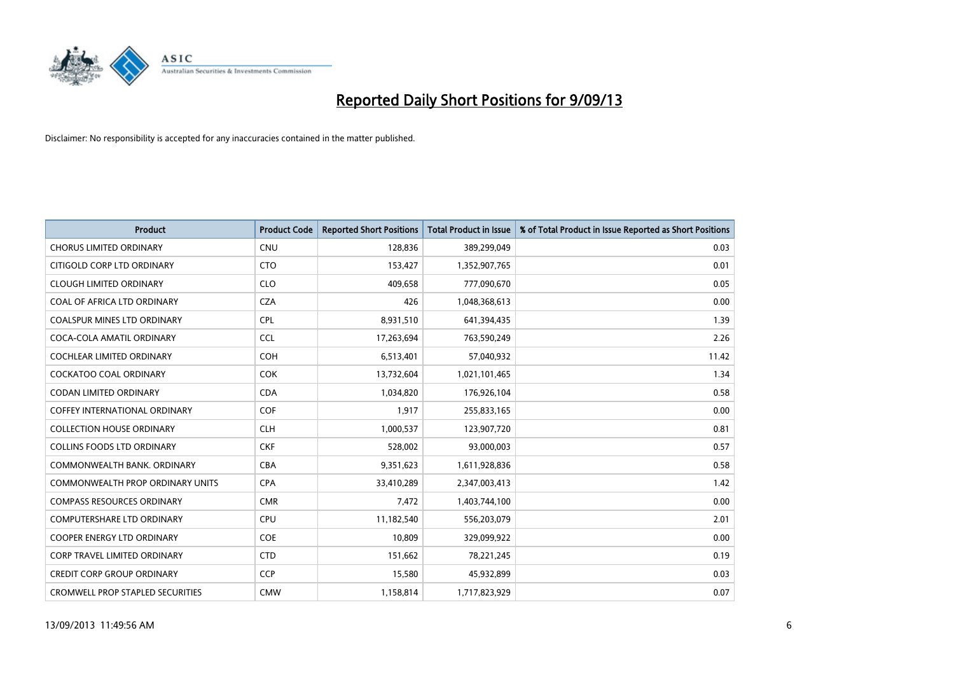

| <b>Product</b>                          | <b>Product Code</b> | <b>Reported Short Positions</b> | <b>Total Product in Issue</b> | % of Total Product in Issue Reported as Short Positions |
|-----------------------------------------|---------------------|---------------------------------|-------------------------------|---------------------------------------------------------|
| <b>CHORUS LIMITED ORDINARY</b>          | <b>CNU</b>          | 128,836                         | 389,299,049                   | 0.03                                                    |
| CITIGOLD CORP LTD ORDINARY              | <b>CTO</b>          | 153,427                         | 1,352,907,765                 | 0.01                                                    |
| <b>CLOUGH LIMITED ORDINARY</b>          | <b>CLO</b>          | 409,658                         | 777,090,670                   | 0.05                                                    |
| COAL OF AFRICA LTD ORDINARY             | <b>CZA</b>          | 426                             | 1,048,368,613                 | 0.00                                                    |
| <b>COALSPUR MINES LTD ORDINARY</b>      | <b>CPL</b>          | 8,931,510                       | 641,394,435                   | 1.39                                                    |
| COCA-COLA AMATIL ORDINARY               | <b>CCL</b>          | 17,263,694                      | 763,590,249                   | 2.26                                                    |
| <b>COCHLEAR LIMITED ORDINARY</b>        | <b>COH</b>          | 6,513,401                       | 57,040,932                    | 11.42                                                   |
| <b>COCKATOO COAL ORDINARY</b>           | <b>COK</b>          | 13,732,604                      | 1,021,101,465                 | 1.34                                                    |
| <b>CODAN LIMITED ORDINARY</b>           | <b>CDA</b>          | 1,034,820                       | 176,926,104                   | 0.58                                                    |
| <b>COFFEY INTERNATIONAL ORDINARY</b>    | <b>COF</b>          | 1,917                           | 255,833,165                   | 0.00                                                    |
| <b>COLLECTION HOUSE ORDINARY</b>        | <b>CLH</b>          | 1,000,537                       | 123,907,720                   | 0.81                                                    |
| COLLINS FOODS LTD ORDINARY              | <b>CKF</b>          | 528,002                         | 93,000,003                    | 0.57                                                    |
| COMMONWEALTH BANK, ORDINARY             | <b>CBA</b>          | 9,351,623                       | 1,611,928,836                 | 0.58                                                    |
| <b>COMMONWEALTH PROP ORDINARY UNITS</b> | <b>CPA</b>          | 33,410,289                      | 2,347,003,413                 | 1.42                                                    |
| <b>COMPASS RESOURCES ORDINARY</b>       | <b>CMR</b>          | 7,472                           | 1,403,744,100                 | 0.00                                                    |
| <b>COMPUTERSHARE LTD ORDINARY</b>       | <b>CPU</b>          | 11,182,540                      | 556,203,079                   | 2.01                                                    |
| COOPER ENERGY LTD ORDINARY              | <b>COE</b>          | 10,809                          | 329,099,922                   | 0.00                                                    |
| <b>CORP TRAVEL LIMITED ORDINARY</b>     | <b>CTD</b>          | 151,662                         | 78,221,245                    | 0.19                                                    |
| <b>CREDIT CORP GROUP ORDINARY</b>       | <b>CCP</b>          | 15,580                          | 45,932,899                    | 0.03                                                    |
| <b>CROMWELL PROP STAPLED SECURITIES</b> | <b>CMW</b>          | 1,158,814                       | 1,717,823,929                 | 0.07                                                    |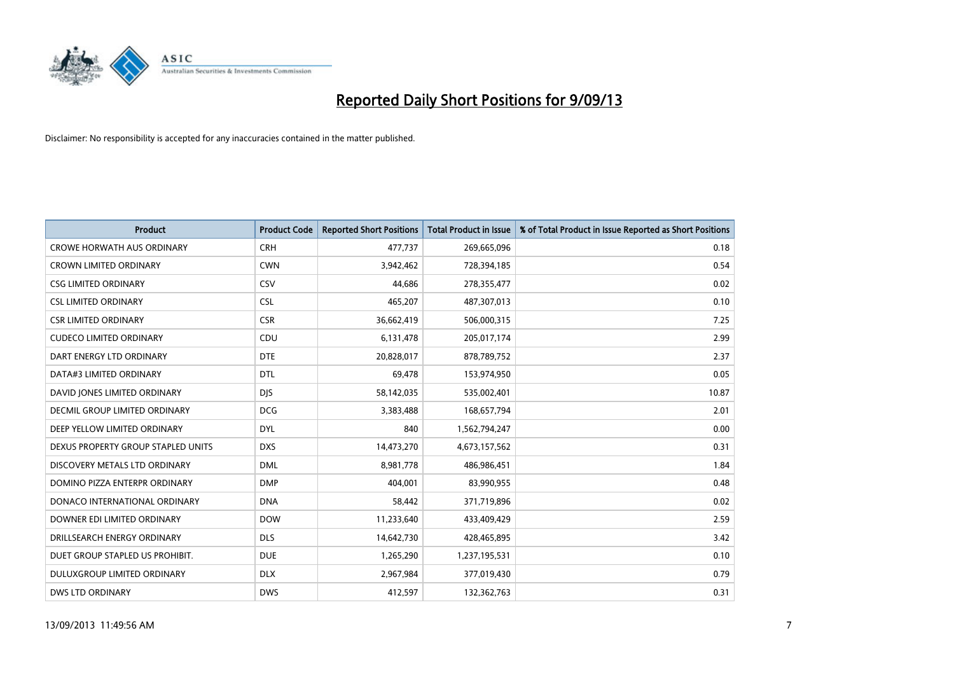

| <b>Product</b>                     | <b>Product Code</b> | <b>Reported Short Positions</b> | <b>Total Product in Issue</b> | % of Total Product in Issue Reported as Short Positions |
|------------------------------------|---------------------|---------------------------------|-------------------------------|---------------------------------------------------------|
| <b>CROWE HORWATH AUS ORDINARY</b>  | <b>CRH</b>          | 477,737                         | 269,665,096                   | 0.18                                                    |
| CROWN LIMITED ORDINARY             | <b>CWN</b>          | 3,942,462                       | 728,394,185                   | 0.54                                                    |
| <b>CSG LIMITED ORDINARY</b>        | CSV                 | 44.686                          | 278,355,477                   | 0.02                                                    |
| <b>CSL LIMITED ORDINARY</b>        | <b>CSL</b>          | 465,207                         | 487,307,013                   | 0.10                                                    |
| <b>CSR LIMITED ORDINARY</b>        | <b>CSR</b>          | 36,662,419                      | 506,000,315                   | 7.25                                                    |
| <b>CUDECO LIMITED ORDINARY</b>     | CDU                 | 6,131,478                       | 205,017,174                   | 2.99                                                    |
| DART ENERGY LTD ORDINARY           | <b>DTE</b>          | 20,828,017                      | 878,789,752                   | 2.37                                                    |
| DATA#3 LIMITED ORDINARY            | DTL                 | 69,478                          | 153,974,950                   | 0.05                                                    |
| DAVID JONES LIMITED ORDINARY       | <b>DJS</b>          | 58,142,035                      | 535,002,401                   | 10.87                                                   |
| DECMIL GROUP LIMITED ORDINARY      | <b>DCG</b>          | 3,383,488                       | 168,657,794                   | 2.01                                                    |
| DEEP YELLOW LIMITED ORDINARY       | DYL                 | 840                             | 1,562,794,247                 | 0.00                                                    |
| DEXUS PROPERTY GROUP STAPLED UNITS | <b>DXS</b>          | 14,473,270                      | 4,673,157,562                 | 0.31                                                    |
| DISCOVERY METALS LTD ORDINARY      | <b>DML</b>          | 8,981,778                       | 486,986,451                   | 1.84                                                    |
| DOMINO PIZZA ENTERPR ORDINARY      | <b>DMP</b>          | 404,001                         | 83,990,955                    | 0.48                                                    |
| DONACO INTERNATIONAL ORDINARY      | <b>DNA</b>          | 58,442                          | 371,719,896                   | 0.02                                                    |
| DOWNER EDI LIMITED ORDINARY        | <b>DOW</b>          | 11,233,640                      | 433,409,429                   | 2.59                                                    |
| DRILLSEARCH ENERGY ORDINARY        | <b>DLS</b>          | 14,642,730                      | 428,465,895                   | 3.42                                                    |
| DUET GROUP STAPLED US PROHIBIT.    | <b>DUE</b>          | 1,265,290                       | 1,237,195,531                 | 0.10                                                    |
| DULUXGROUP LIMITED ORDINARY        | <b>DLX</b>          | 2,967,984                       | 377,019,430                   | 0.79                                                    |
| DWS LTD ORDINARY                   | <b>DWS</b>          | 412,597                         | 132,362,763                   | 0.31                                                    |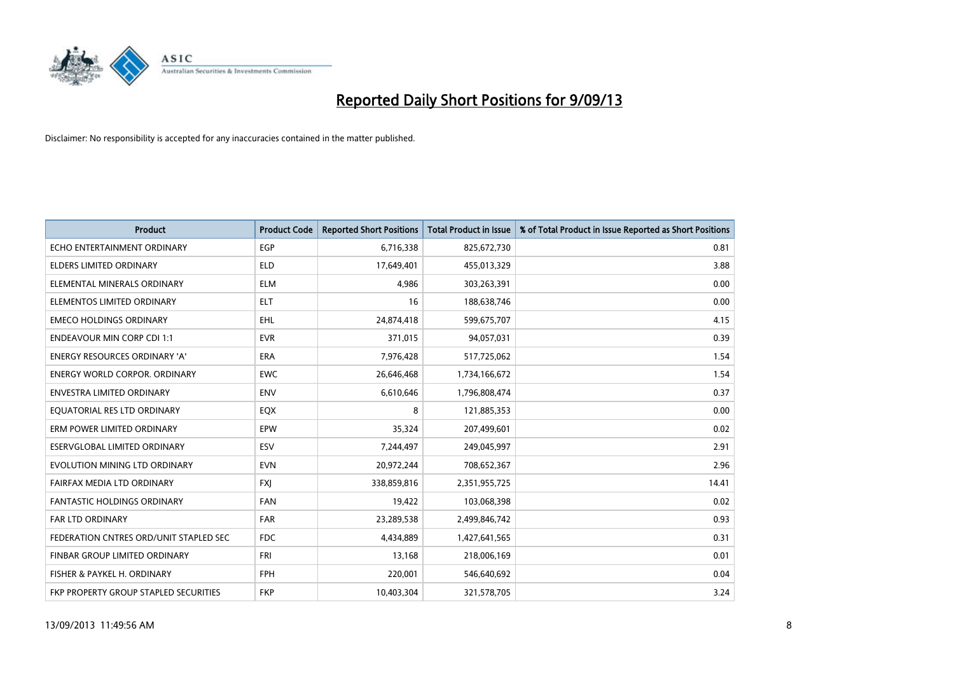

| <b>Product</b>                         | <b>Product Code</b> | <b>Reported Short Positions</b> | <b>Total Product in Issue</b> | % of Total Product in Issue Reported as Short Positions |
|----------------------------------------|---------------------|---------------------------------|-------------------------------|---------------------------------------------------------|
| ECHO ENTERTAINMENT ORDINARY            | <b>EGP</b>          | 6,716,338                       | 825,672,730                   | 0.81                                                    |
| ELDERS LIMITED ORDINARY                | ELD                 | 17,649,401                      | 455,013,329                   | 3.88                                                    |
| ELEMENTAL MINERALS ORDINARY            | <b>ELM</b>          | 4,986                           | 303,263,391                   | 0.00                                                    |
| ELEMENTOS LIMITED ORDINARY             | <b>ELT</b>          | 16                              | 188,638,746                   | 0.00                                                    |
| <b>EMECO HOLDINGS ORDINARY</b>         | EHL                 | 24,874,418                      | 599,675,707                   | 4.15                                                    |
| <b>ENDEAVOUR MIN CORP CDI 1:1</b>      | <b>EVR</b>          | 371,015                         | 94,057,031                    | 0.39                                                    |
| <b>ENERGY RESOURCES ORDINARY 'A'</b>   | <b>ERA</b>          | 7,976,428                       | 517,725,062                   | 1.54                                                    |
| <b>ENERGY WORLD CORPOR, ORDINARY</b>   | <b>EWC</b>          | 26,646,468                      | 1,734,166,672                 | 1.54                                                    |
| <b>ENVESTRA LIMITED ORDINARY</b>       | <b>ENV</b>          | 6,610,646                       | 1,796,808,474                 | 0.37                                                    |
| EQUATORIAL RES LTD ORDINARY            | EQX                 | 8                               | 121,885,353                   | 0.00                                                    |
| ERM POWER LIMITED ORDINARY             | EPW                 | 35,324                          | 207,499,601                   | 0.02                                                    |
| ESERVGLOBAL LIMITED ORDINARY           | ESV                 | 7,244,497                       | 249,045,997                   | 2.91                                                    |
| EVOLUTION MINING LTD ORDINARY          | <b>EVN</b>          | 20,972,244                      | 708,652,367                   | 2.96                                                    |
| FAIRFAX MEDIA LTD ORDINARY             | <b>FXI</b>          | 338,859,816                     | 2,351,955,725                 | 14.41                                                   |
| <b>FANTASTIC HOLDINGS ORDINARY</b>     | <b>FAN</b>          | 19,422                          | 103,068,398                   | 0.02                                                    |
| <b>FAR LTD ORDINARY</b>                | <b>FAR</b>          | 23,289,538                      | 2,499,846,742                 | 0.93                                                    |
| FEDERATION CNTRES ORD/UNIT STAPLED SEC | <b>FDC</b>          | 4,434,889                       | 1,427,641,565                 | 0.31                                                    |
| FINBAR GROUP LIMITED ORDINARY          | <b>FRI</b>          | 13,168                          | 218,006,169                   | 0.01                                                    |
| FISHER & PAYKEL H. ORDINARY            | <b>FPH</b>          | 220,001                         | 546,640,692                   | 0.04                                                    |
| FKP PROPERTY GROUP STAPLED SECURITIES  | <b>FKP</b>          | 10,403,304                      | 321,578,705                   | 3.24                                                    |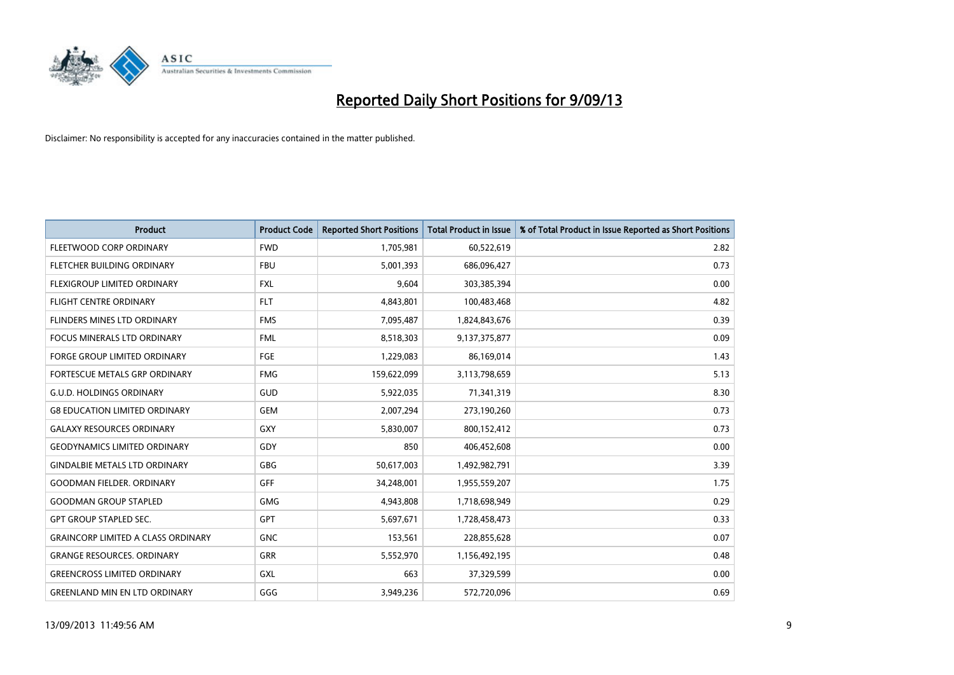

| <b>Product</b>                            | <b>Product Code</b> | <b>Reported Short Positions</b> | <b>Total Product in Issue</b> | % of Total Product in Issue Reported as Short Positions |
|-------------------------------------------|---------------------|---------------------------------|-------------------------------|---------------------------------------------------------|
| FLEETWOOD CORP ORDINARY                   | <b>FWD</b>          | 1,705,981                       | 60,522,619                    | 2.82                                                    |
| FLETCHER BUILDING ORDINARY                | <b>FBU</b>          | 5,001,393                       | 686,096,427                   | 0.73                                                    |
| FLEXIGROUP LIMITED ORDINARY               | <b>FXL</b>          | 9,604                           | 303,385,394                   | 0.00                                                    |
| <b>FLIGHT CENTRE ORDINARY</b>             | <b>FLT</b>          | 4,843,801                       | 100,483,468                   | 4.82                                                    |
| FLINDERS MINES LTD ORDINARY               | <b>FMS</b>          | 7,095,487                       | 1,824,843,676                 | 0.39                                                    |
| <b>FOCUS MINERALS LTD ORDINARY</b>        | <b>FML</b>          | 8,518,303                       | 9,137,375,877                 | 0.09                                                    |
| <b>FORGE GROUP LIMITED ORDINARY</b>       | <b>FGE</b>          | 1,229,083                       | 86,169,014                    | 1.43                                                    |
| FORTESCUE METALS GRP ORDINARY             | <b>FMG</b>          | 159,622,099                     | 3,113,798,659                 | 5.13                                                    |
| <b>G.U.D. HOLDINGS ORDINARY</b>           | GUD                 | 5,922,035                       | 71,341,319                    | 8.30                                                    |
| <b>G8 EDUCATION LIMITED ORDINARY</b>      | <b>GEM</b>          | 2,007,294                       | 273,190,260                   | 0.73                                                    |
| <b>GALAXY RESOURCES ORDINARY</b>          | GXY                 | 5,830,007                       | 800,152,412                   | 0.73                                                    |
| <b>GEODYNAMICS LIMITED ORDINARY</b>       | GDY                 | 850                             | 406,452,608                   | 0.00                                                    |
| <b>GINDALBIE METALS LTD ORDINARY</b>      | GBG                 | 50,617,003                      | 1,492,982,791                 | 3.39                                                    |
| <b>GOODMAN FIELDER, ORDINARY</b>          | GFF                 | 34,248,001                      | 1,955,559,207                 | 1.75                                                    |
| <b>GOODMAN GROUP STAPLED</b>              | <b>GMG</b>          | 4,943,808                       | 1,718,698,949                 | 0.29                                                    |
| <b>GPT GROUP STAPLED SEC.</b>             | GPT                 | 5,697,671                       | 1,728,458,473                 | 0.33                                                    |
| <b>GRAINCORP LIMITED A CLASS ORDINARY</b> | <b>GNC</b>          | 153,561                         | 228,855,628                   | 0.07                                                    |
| <b>GRANGE RESOURCES. ORDINARY</b>         | GRR                 | 5,552,970                       | 1,156,492,195                 | 0.48                                                    |
| <b>GREENCROSS LIMITED ORDINARY</b>        | <b>GXL</b>          | 663                             | 37,329,599                    | 0.00                                                    |
| <b>GREENLAND MIN EN LTD ORDINARY</b>      | GGG                 | 3,949,236                       | 572,720,096                   | 0.69                                                    |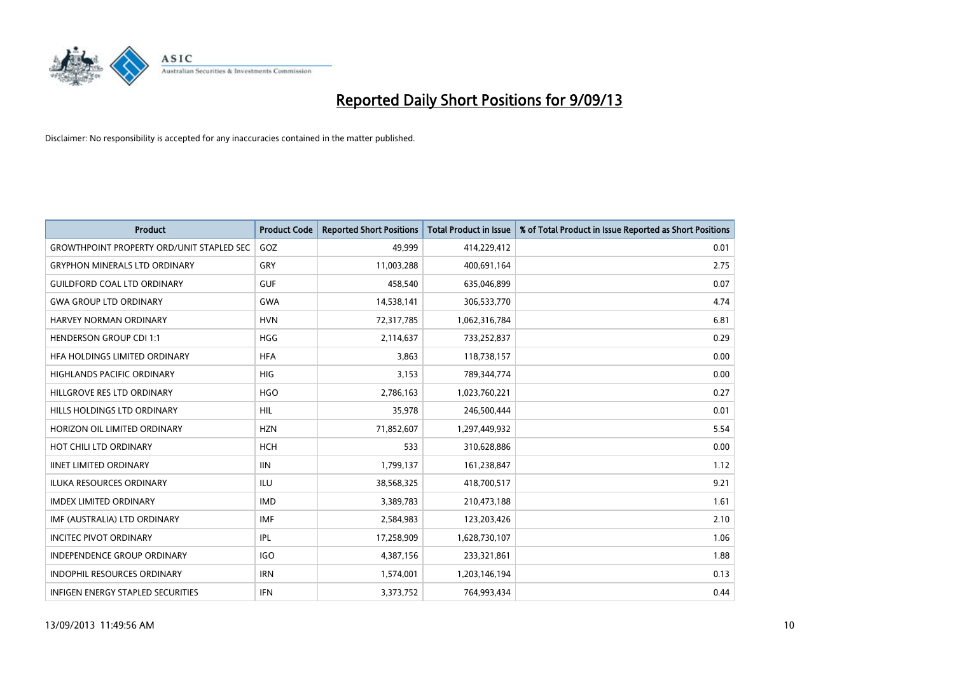

| <b>Product</b>                                   | <b>Product Code</b> | <b>Reported Short Positions</b> | <b>Total Product in Issue</b> | % of Total Product in Issue Reported as Short Positions |
|--------------------------------------------------|---------------------|---------------------------------|-------------------------------|---------------------------------------------------------|
| <b>GROWTHPOINT PROPERTY ORD/UNIT STAPLED SEC</b> | GOZ                 | 49,999                          | 414,229,412                   | 0.01                                                    |
| <b>GRYPHON MINERALS LTD ORDINARY</b>             | <b>GRY</b>          | 11,003,288                      | 400,691,164                   | 2.75                                                    |
| <b>GUILDFORD COAL LTD ORDINARY</b>               | <b>GUF</b>          | 458,540                         | 635,046,899                   | 0.07                                                    |
| <b>GWA GROUP LTD ORDINARY</b>                    | <b>GWA</b>          | 14,538,141                      | 306,533,770                   | 4.74                                                    |
| HARVEY NORMAN ORDINARY                           | <b>HVN</b>          | 72,317,785                      | 1,062,316,784                 | 6.81                                                    |
| <b>HENDERSON GROUP CDI 1:1</b>                   | <b>HGG</b>          | 2,114,637                       | 733,252,837                   | 0.29                                                    |
| HFA HOLDINGS LIMITED ORDINARY                    | <b>HFA</b>          | 3,863                           | 118,738,157                   | 0.00                                                    |
| HIGHLANDS PACIFIC ORDINARY                       | <b>HIG</b>          | 3,153                           | 789,344,774                   | 0.00                                                    |
| HILLGROVE RES LTD ORDINARY                       | <b>HGO</b>          | 2,786,163                       | 1,023,760,221                 | 0.27                                                    |
| <b>HILLS HOLDINGS LTD ORDINARY</b>               | <b>HIL</b>          | 35,978                          | 246,500,444                   | 0.01                                                    |
| HORIZON OIL LIMITED ORDINARY                     | <b>HZN</b>          | 71,852,607                      | 1,297,449,932                 | 5.54                                                    |
| HOT CHILI LTD ORDINARY                           | <b>HCH</b>          | 533                             | 310,628,886                   | 0.00                                                    |
| <b>IINET LIMITED ORDINARY</b>                    | <b>IIN</b>          | 1,799,137                       | 161,238,847                   | 1.12                                                    |
| <b>ILUKA RESOURCES ORDINARY</b>                  | ILU                 | 38,568,325                      | 418,700,517                   | 9.21                                                    |
| <b>IMDEX LIMITED ORDINARY</b>                    | <b>IMD</b>          | 3,389,783                       | 210,473,188                   | 1.61                                                    |
| IMF (AUSTRALIA) LTD ORDINARY                     | IMF                 | 2,584,983                       | 123,203,426                   | 2.10                                                    |
| <b>INCITEC PIVOT ORDINARY</b>                    | IPL                 | 17,258,909                      | 1,628,730,107                 | 1.06                                                    |
| <b>INDEPENDENCE GROUP ORDINARY</b>               | <b>IGO</b>          | 4,387,156                       | 233,321,861                   | 1.88                                                    |
| <b>INDOPHIL RESOURCES ORDINARY</b>               | <b>IRN</b>          | 1,574,001                       | 1,203,146,194                 | 0.13                                                    |
| INFIGEN ENERGY STAPLED SECURITIES                | IFN                 | 3,373,752                       | 764,993,434                   | 0.44                                                    |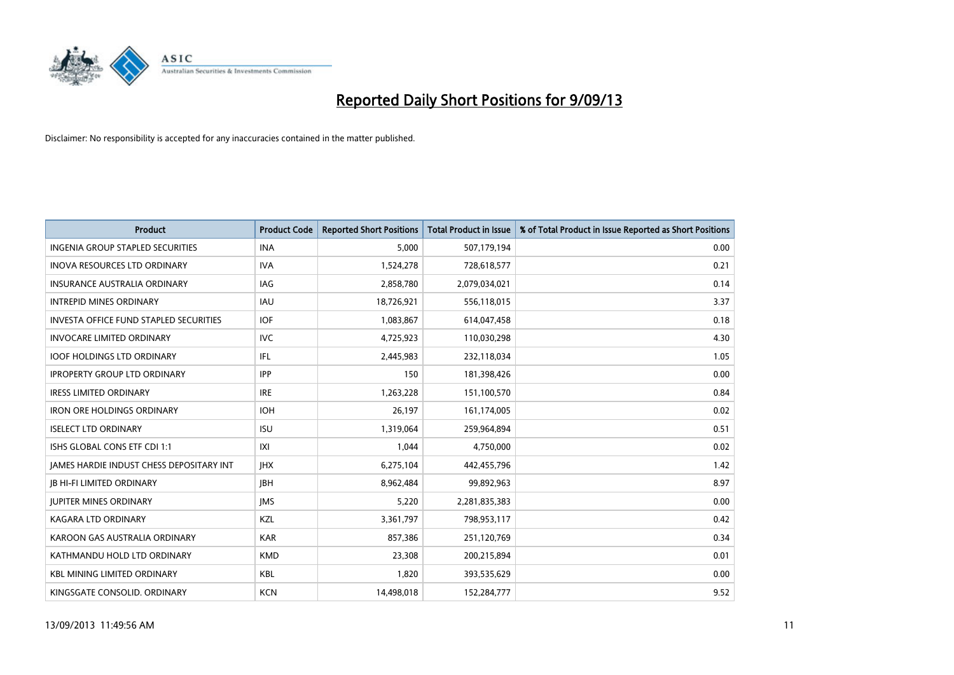

| <b>Product</b>                                | <b>Product Code</b> | <b>Reported Short Positions</b> | <b>Total Product in Issue</b> | % of Total Product in Issue Reported as Short Positions |
|-----------------------------------------------|---------------------|---------------------------------|-------------------------------|---------------------------------------------------------|
| <b>INGENIA GROUP STAPLED SECURITIES</b>       | <b>INA</b>          | 5,000                           | 507,179,194                   | 0.00                                                    |
| INOVA RESOURCES LTD ORDINARY                  | <b>IVA</b>          | 1,524,278                       | 728,618,577                   | 0.21                                                    |
| <b>INSURANCE AUSTRALIA ORDINARY</b>           | IAG                 | 2,858,780                       | 2,079,034,021                 | 0.14                                                    |
| <b>INTREPID MINES ORDINARY</b>                | <b>IAU</b>          | 18,726,921                      | 556,118,015                   | 3.37                                                    |
| <b>INVESTA OFFICE FUND STAPLED SECURITIES</b> | <b>IOF</b>          | 1,083,867                       | 614,047,458                   | 0.18                                                    |
| <b>INVOCARE LIMITED ORDINARY</b>              | <b>IVC</b>          | 4,725,923                       | 110,030,298                   | 4.30                                                    |
| <b>IOOF HOLDINGS LTD ORDINARY</b>             | IFL                 | 2,445,983                       | 232,118,034                   | 1.05                                                    |
| <b>IPROPERTY GROUP LTD ORDINARY</b>           | <b>IPP</b>          | 150                             | 181,398,426                   | 0.00                                                    |
| <b>IRESS LIMITED ORDINARY</b>                 | <b>IRE</b>          | 1,263,228                       | 151,100,570                   | 0.84                                                    |
| <b>IRON ORE HOLDINGS ORDINARY</b>             | <b>IOH</b>          | 26,197                          | 161,174,005                   | 0.02                                                    |
| <b>ISELECT LTD ORDINARY</b>                   | <b>ISU</b>          | 1,319,064                       | 259,964,894                   | 0.51                                                    |
| ISHS GLOBAL CONS ETF CDI 1:1                  | X                   | 1,044                           | 4,750,000                     | 0.02                                                    |
| JAMES HARDIE INDUST CHESS DEPOSITARY INT      | <b>IHX</b>          | 6,275,104                       | 442,455,796                   | 1.42                                                    |
| <b>JB HI-FI LIMITED ORDINARY</b>              | <b>IBH</b>          | 8,962,484                       | 99,892,963                    | 8.97                                                    |
| <b>JUPITER MINES ORDINARY</b>                 | <b>IMS</b>          | 5,220                           | 2,281,835,383                 | 0.00                                                    |
| KAGARA LTD ORDINARY                           | KZL                 | 3,361,797                       | 798,953,117                   | 0.42                                                    |
| KAROON GAS AUSTRALIA ORDINARY                 | <b>KAR</b>          | 857,386                         | 251,120,769                   | 0.34                                                    |
| KATHMANDU HOLD LTD ORDINARY                   | <b>KMD</b>          | 23,308                          | 200,215,894                   | 0.01                                                    |
| <b>KBL MINING LIMITED ORDINARY</b>            | <b>KBL</b>          | 1,820                           | 393,535,629                   | 0.00                                                    |
| KINGSGATE CONSOLID. ORDINARY                  | <b>KCN</b>          | 14,498,018                      | 152,284,777                   | 9.52                                                    |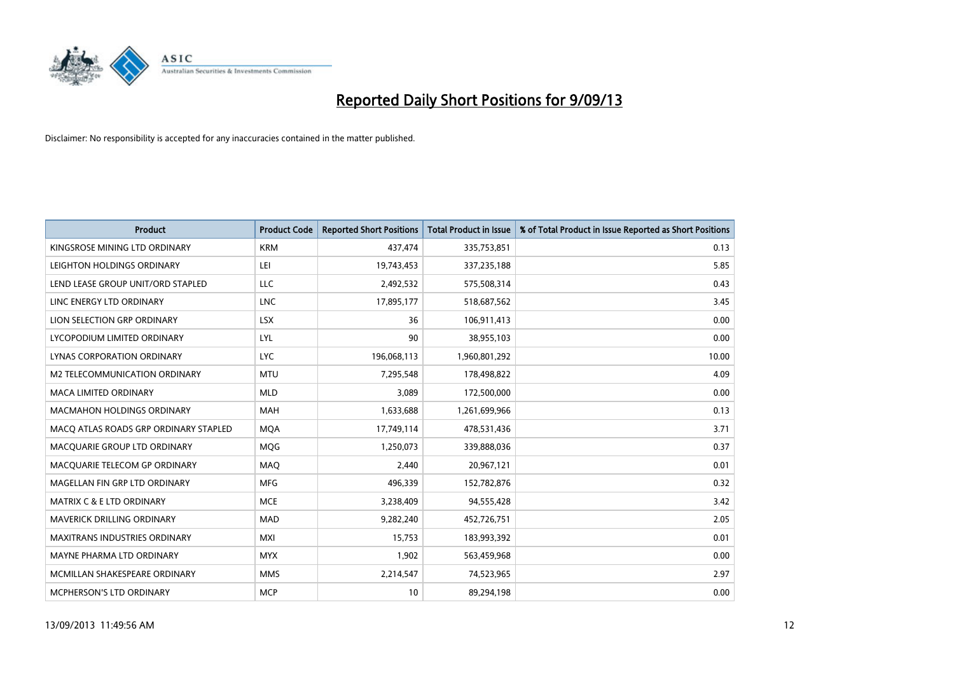

| Product                               | <b>Product Code</b> | <b>Reported Short Positions</b> | <b>Total Product in Issue</b> | % of Total Product in Issue Reported as Short Positions |
|---------------------------------------|---------------------|---------------------------------|-------------------------------|---------------------------------------------------------|
|                                       |                     |                                 |                               |                                                         |
| KINGSROSE MINING LTD ORDINARY         | <b>KRM</b>          | 437,474                         | 335,753,851                   | 0.13                                                    |
| LEIGHTON HOLDINGS ORDINARY            | LEI                 | 19,743,453                      | 337,235,188                   | 5.85                                                    |
| LEND LEASE GROUP UNIT/ORD STAPLED     | LLC                 | 2,492,532                       | 575,508,314                   | 0.43                                                    |
| LINC ENERGY LTD ORDINARY              | <b>LNC</b>          | 17,895,177                      | 518,687,562                   | 3.45                                                    |
| LION SELECTION GRP ORDINARY           | <b>LSX</b>          | 36                              | 106,911,413                   | 0.00                                                    |
| LYCOPODIUM LIMITED ORDINARY           | LYL                 | 90                              | 38,955,103                    | 0.00                                                    |
| LYNAS CORPORATION ORDINARY            | <b>LYC</b>          | 196,068,113                     | 1,960,801,292                 | 10.00                                                   |
| M2 TELECOMMUNICATION ORDINARY         | <b>MTU</b>          | 7,295,548                       | 178,498,822                   | 4.09                                                    |
| <b>MACA LIMITED ORDINARY</b>          | <b>MLD</b>          | 3,089                           | 172,500,000                   | 0.00                                                    |
| <b>MACMAHON HOLDINGS ORDINARY</b>     | <b>MAH</b>          | 1,633,688                       | 1,261,699,966                 | 0.13                                                    |
| MACO ATLAS ROADS GRP ORDINARY STAPLED | <b>MQA</b>          | 17,749,114                      | 478,531,436                   | 3.71                                                    |
| MACQUARIE GROUP LTD ORDINARY          | MQG                 | 1,250,073                       | 339,888,036                   | 0.37                                                    |
| MACQUARIE TELECOM GP ORDINARY         | MAQ                 | 2,440                           | 20,967,121                    | 0.01                                                    |
| MAGELLAN FIN GRP LTD ORDINARY         | <b>MFG</b>          | 496,339                         | 152,782,876                   | 0.32                                                    |
| <b>MATRIX C &amp; E LTD ORDINARY</b>  | <b>MCE</b>          | 3,238,409                       | 94,555,428                    | 3.42                                                    |
| <b>MAVERICK DRILLING ORDINARY</b>     | <b>MAD</b>          | 9,282,240                       | 452,726,751                   | 2.05                                                    |
| <b>MAXITRANS INDUSTRIES ORDINARY</b>  | MXI                 | 15,753                          | 183,993,392                   | 0.01                                                    |
| MAYNE PHARMA LTD ORDINARY             | <b>MYX</b>          | 1,902                           | 563,459,968                   | 0.00                                                    |
| MCMILLAN SHAKESPEARE ORDINARY         | <b>MMS</b>          | 2,214,547                       | 74,523,965                    | 2.97                                                    |
| MCPHERSON'S LTD ORDINARY              | <b>MCP</b>          | 10                              | 89,294,198                    | 0.00                                                    |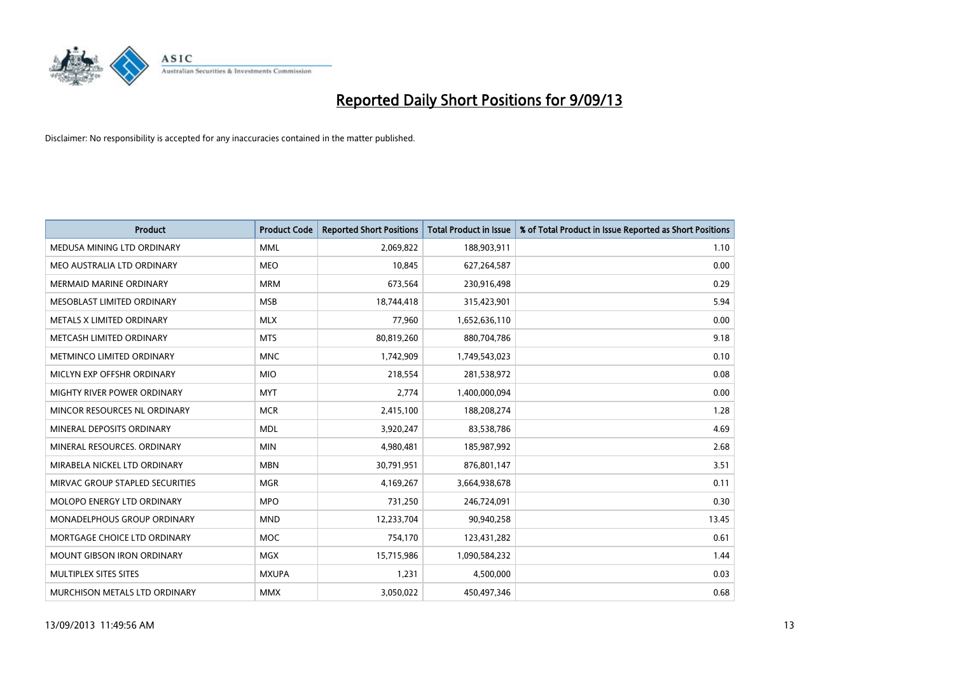

| <b>Product</b>                    | <b>Product Code</b> | <b>Reported Short Positions</b> | <b>Total Product in Issue</b> | % of Total Product in Issue Reported as Short Positions |
|-----------------------------------|---------------------|---------------------------------|-------------------------------|---------------------------------------------------------|
| MEDUSA MINING LTD ORDINARY        | <b>MML</b>          | 2,069,822                       | 188,903,911                   | 1.10                                                    |
| MEO AUSTRALIA LTD ORDINARY        | <b>MEO</b>          | 10,845                          | 627,264,587                   | 0.00                                                    |
| <b>MERMAID MARINE ORDINARY</b>    | <b>MRM</b>          | 673,564                         | 230,916,498                   | 0.29                                                    |
| MESOBLAST LIMITED ORDINARY        | <b>MSB</b>          | 18,744,418                      | 315,423,901                   | 5.94                                                    |
| METALS X LIMITED ORDINARY         | <b>MLX</b>          | 77,960                          | 1,652,636,110                 | 0.00                                                    |
| METCASH LIMITED ORDINARY          | <b>MTS</b>          | 80,819,260                      | 880,704,786                   | 9.18                                                    |
| METMINCO LIMITED ORDINARY         | <b>MNC</b>          | 1,742,909                       | 1,749,543,023                 | 0.10                                                    |
| MICLYN EXP OFFSHR ORDINARY        | <b>MIO</b>          | 218,554                         | 281,538,972                   | 0.08                                                    |
| MIGHTY RIVER POWER ORDINARY       | <b>MYT</b>          | 2,774                           | 1,400,000,094                 | 0.00                                                    |
| MINCOR RESOURCES NL ORDINARY      | <b>MCR</b>          | 2,415,100                       | 188,208,274                   | 1.28                                                    |
| MINERAL DEPOSITS ORDINARY         | <b>MDL</b>          | 3,920,247                       | 83,538,786                    | 4.69                                                    |
| MINERAL RESOURCES, ORDINARY       | <b>MIN</b>          | 4,980,481                       | 185,987,992                   | 2.68                                                    |
| MIRABELA NICKEL LTD ORDINARY      | <b>MBN</b>          | 30,791,951                      | 876,801,147                   | 3.51                                                    |
| MIRVAC GROUP STAPLED SECURITIES   | <b>MGR</b>          | 4,169,267                       | 3,664,938,678                 | 0.11                                                    |
| MOLOPO ENERGY LTD ORDINARY        | <b>MPO</b>          | 731,250                         | 246,724,091                   | 0.30                                                    |
| MONADELPHOUS GROUP ORDINARY       | <b>MND</b>          | 12,233,704                      | 90,940,258                    | 13.45                                                   |
| MORTGAGE CHOICE LTD ORDINARY      | MOC                 | 754,170                         | 123,431,282                   | 0.61                                                    |
| <b>MOUNT GIBSON IRON ORDINARY</b> | <b>MGX</b>          | 15,715,986                      | 1,090,584,232                 | 1.44                                                    |
| MULTIPLEX SITES SITES             | <b>MXUPA</b>        | 1,231                           | 4,500,000                     | 0.03                                                    |
| MURCHISON METALS LTD ORDINARY     | <b>MMX</b>          | 3,050,022                       | 450,497,346                   | 0.68                                                    |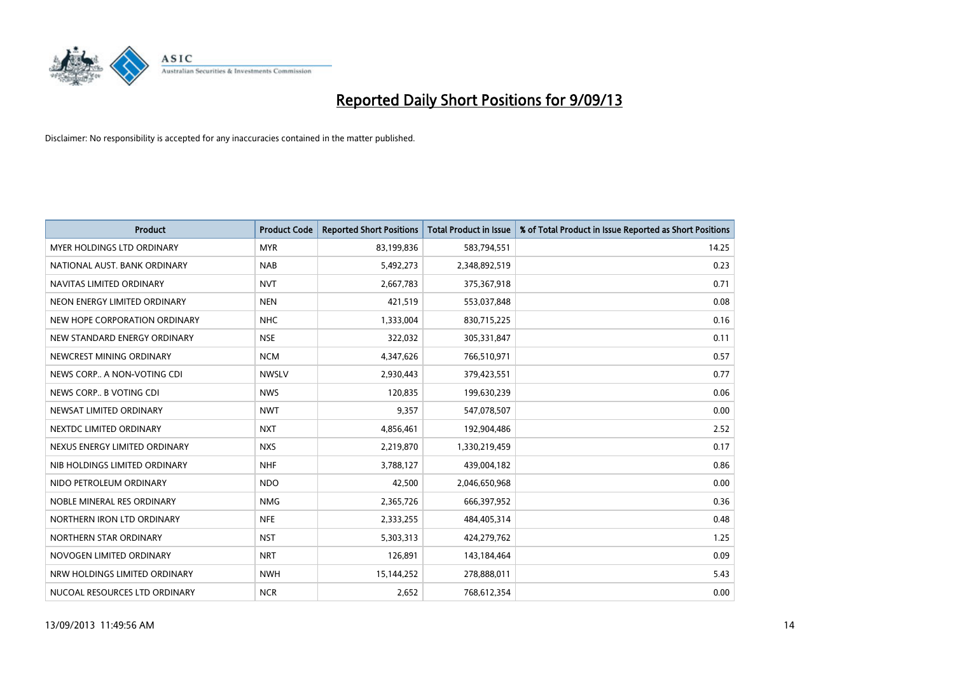

| <b>Product</b>                | <b>Product Code</b> | <b>Reported Short Positions</b> | <b>Total Product in Issue</b> | % of Total Product in Issue Reported as Short Positions |
|-------------------------------|---------------------|---------------------------------|-------------------------------|---------------------------------------------------------|
| MYER HOLDINGS LTD ORDINARY    | <b>MYR</b>          | 83,199,836                      | 583,794,551                   | 14.25                                                   |
| NATIONAL AUST. BANK ORDINARY  | <b>NAB</b>          | 5,492,273                       | 2,348,892,519                 | 0.23                                                    |
| NAVITAS LIMITED ORDINARY      | <b>NVT</b>          | 2,667,783                       | 375,367,918                   | 0.71                                                    |
| NEON ENERGY LIMITED ORDINARY  | <b>NEN</b>          | 421,519                         | 553,037,848                   | 0.08                                                    |
| NEW HOPE CORPORATION ORDINARY | <b>NHC</b>          | 1,333,004                       | 830,715,225                   | 0.16                                                    |
| NEW STANDARD ENERGY ORDINARY  | <b>NSE</b>          | 322,032                         | 305,331,847                   | 0.11                                                    |
| NEWCREST MINING ORDINARY      | <b>NCM</b>          | 4,347,626                       | 766,510,971                   | 0.57                                                    |
| NEWS CORP A NON-VOTING CDI    | <b>NWSLV</b>        | 2,930,443                       | 379,423,551                   | 0.77                                                    |
| NEWS CORP B VOTING CDI        | <b>NWS</b>          | 120,835                         | 199,630,239                   | 0.06                                                    |
| NEWSAT LIMITED ORDINARY       | <b>NWT</b>          | 9,357                           | 547,078,507                   | 0.00                                                    |
| NEXTDC LIMITED ORDINARY       | <b>NXT</b>          | 4,856,461                       | 192,904,486                   | 2.52                                                    |
| NEXUS ENERGY LIMITED ORDINARY | <b>NXS</b>          | 2,219,870                       | 1,330,219,459                 | 0.17                                                    |
| NIB HOLDINGS LIMITED ORDINARY | <b>NHF</b>          | 3,788,127                       | 439,004,182                   | 0.86                                                    |
| NIDO PETROLEUM ORDINARY       | <b>NDO</b>          | 42,500                          | 2,046,650,968                 | 0.00                                                    |
| NOBLE MINERAL RES ORDINARY    | <b>NMG</b>          | 2,365,726                       | 666,397,952                   | 0.36                                                    |
| NORTHERN IRON LTD ORDINARY    | <b>NFE</b>          | 2,333,255                       | 484,405,314                   | 0.48                                                    |
| NORTHERN STAR ORDINARY        | <b>NST</b>          | 5,303,313                       | 424,279,762                   | 1.25                                                    |
| NOVOGEN LIMITED ORDINARY      | <b>NRT</b>          | 126,891                         | 143,184,464                   | 0.09                                                    |
| NRW HOLDINGS LIMITED ORDINARY | <b>NWH</b>          | 15,144,252                      | 278,888,011                   | 5.43                                                    |
| NUCOAL RESOURCES LTD ORDINARY | <b>NCR</b>          | 2,652                           | 768,612,354                   | 0.00                                                    |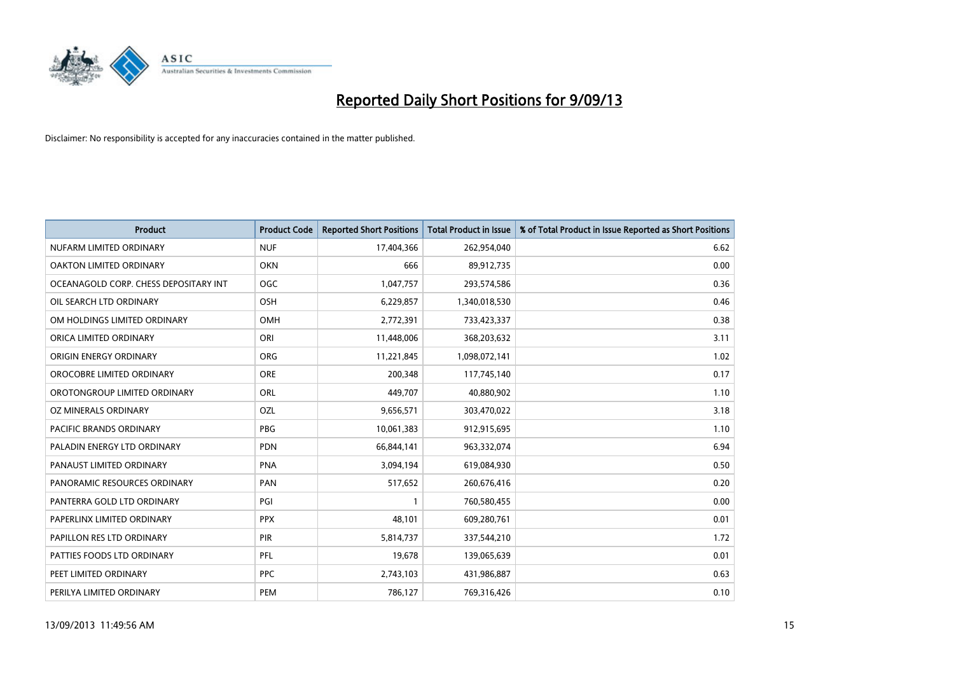

| <b>Product</b>                        | <b>Product Code</b> | <b>Reported Short Positions</b> | <b>Total Product in Issue</b> | % of Total Product in Issue Reported as Short Positions |
|---------------------------------------|---------------------|---------------------------------|-------------------------------|---------------------------------------------------------|
| NUFARM LIMITED ORDINARY               | <b>NUF</b>          | 17,404,366                      | 262,954,040                   | 6.62                                                    |
| OAKTON LIMITED ORDINARY               | <b>OKN</b>          | 666                             | 89,912,735                    | 0.00                                                    |
| OCEANAGOLD CORP. CHESS DEPOSITARY INT | <b>OGC</b>          | 1,047,757                       | 293,574,586                   | 0.36                                                    |
| OIL SEARCH LTD ORDINARY               | OSH                 | 6,229,857                       | 1,340,018,530                 | 0.46                                                    |
| OM HOLDINGS LIMITED ORDINARY          | OMH                 | 2,772,391                       | 733,423,337                   | 0.38                                                    |
| ORICA LIMITED ORDINARY                | ORI                 | 11,448,006                      | 368,203,632                   | 3.11                                                    |
| ORIGIN ENERGY ORDINARY                | <b>ORG</b>          | 11,221,845                      | 1,098,072,141                 | 1.02                                                    |
| OROCOBRE LIMITED ORDINARY             | <b>ORE</b>          | 200,348                         | 117,745,140                   | 0.17                                                    |
| OROTONGROUP LIMITED ORDINARY          | <b>ORL</b>          | 449,707                         | 40,880,902                    | 1.10                                                    |
| <b>OZ MINERALS ORDINARY</b>           | OZL                 | 9,656,571                       | 303,470,022                   | 3.18                                                    |
| PACIFIC BRANDS ORDINARY               | <b>PBG</b>          | 10,061,383                      | 912,915,695                   | 1.10                                                    |
| PALADIN ENERGY LTD ORDINARY           | <b>PDN</b>          | 66,844,141                      | 963,332,074                   | 6.94                                                    |
| PANAUST LIMITED ORDINARY              | <b>PNA</b>          | 3,094,194                       | 619,084,930                   | 0.50                                                    |
| PANORAMIC RESOURCES ORDINARY          | PAN                 | 517,652                         | 260,676,416                   | 0.20                                                    |
| PANTERRA GOLD LTD ORDINARY            | PGI                 | 1                               | 760,580,455                   | 0.00                                                    |
| PAPERLINX LIMITED ORDINARY            | <b>PPX</b>          | 48,101                          | 609,280,761                   | 0.01                                                    |
| PAPILLON RES LTD ORDINARY             | PIR                 | 5,814,737                       | 337,544,210                   | 1.72                                                    |
| PATTIES FOODS LTD ORDINARY            | <b>PFL</b>          | 19,678                          | 139,065,639                   | 0.01                                                    |
| PEET LIMITED ORDINARY                 | <b>PPC</b>          | 2,743,103                       | 431,986,887                   | 0.63                                                    |
| PERILYA LIMITED ORDINARY              | PEM                 | 786,127                         | 769,316,426                   | 0.10                                                    |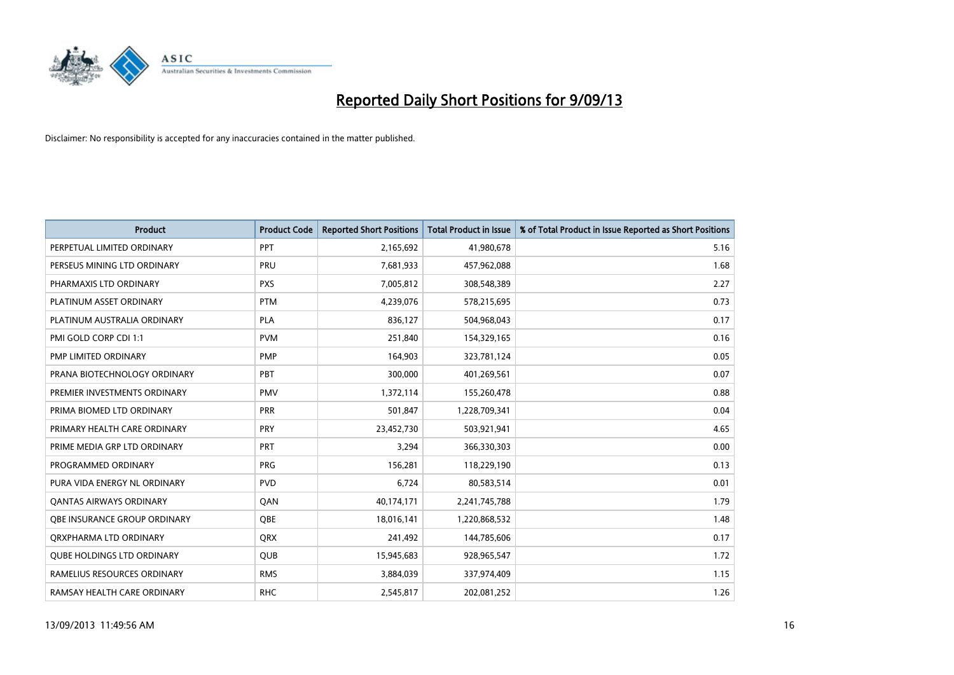

| <b>Product</b>                    | <b>Product Code</b> | <b>Reported Short Positions</b> | <b>Total Product in Issue</b> | % of Total Product in Issue Reported as Short Positions |
|-----------------------------------|---------------------|---------------------------------|-------------------------------|---------------------------------------------------------|
| PERPETUAL LIMITED ORDINARY        | <b>PPT</b>          | 2,165,692                       | 41,980,678                    | 5.16                                                    |
| PERSEUS MINING LTD ORDINARY       | <b>PRU</b>          | 7,681,933                       | 457,962,088                   | 1.68                                                    |
| PHARMAXIS LTD ORDINARY            | <b>PXS</b>          | 7,005,812                       | 308,548,389                   | 2.27                                                    |
| PLATINUM ASSET ORDINARY           | <b>PTM</b>          | 4,239,076                       | 578,215,695                   | 0.73                                                    |
| PLATINUM AUSTRALIA ORDINARY       | <b>PLA</b>          | 836,127                         | 504,968,043                   | 0.17                                                    |
| PMI GOLD CORP CDI 1:1             | <b>PVM</b>          | 251,840                         | 154,329,165                   | 0.16                                                    |
| PMP LIMITED ORDINARY              | <b>PMP</b>          | 164,903                         | 323,781,124                   | 0.05                                                    |
| PRANA BIOTECHNOLOGY ORDINARY      | PBT                 | 300,000                         | 401,269,561                   | 0.07                                                    |
| PREMIER INVESTMENTS ORDINARY      | <b>PMV</b>          | 1,372,114                       | 155,260,478                   | 0.88                                                    |
| PRIMA BIOMED LTD ORDINARY         | <b>PRR</b>          | 501,847                         | 1,228,709,341                 | 0.04                                                    |
| PRIMARY HEALTH CARE ORDINARY      | <b>PRY</b>          | 23,452,730                      | 503,921,941                   | 4.65                                                    |
| PRIME MEDIA GRP LTD ORDINARY      | <b>PRT</b>          | 3,294                           | 366,330,303                   | 0.00                                                    |
| PROGRAMMED ORDINARY               | <b>PRG</b>          | 156,281                         | 118,229,190                   | 0.13                                                    |
| PURA VIDA ENERGY NL ORDINARY      | <b>PVD</b>          | 6,724                           | 80,583,514                    | 0.01                                                    |
| <b>QANTAS AIRWAYS ORDINARY</b>    | QAN                 | 40,174,171                      | 2,241,745,788                 | 1.79                                                    |
| OBE INSURANCE GROUP ORDINARY      | QBE                 | 18,016,141                      | 1,220,868,532                 | 1.48                                                    |
| ORXPHARMA LTD ORDINARY            | QRX                 | 241,492                         | 144,785,606                   | 0.17                                                    |
| <b>QUBE HOLDINGS LTD ORDINARY</b> | <b>QUB</b>          | 15,945,683                      | 928,965,547                   | 1.72                                                    |
| RAMELIUS RESOURCES ORDINARY       | <b>RMS</b>          | 3,884,039                       | 337,974,409                   | 1.15                                                    |
| RAMSAY HEALTH CARE ORDINARY       | <b>RHC</b>          | 2,545,817                       | 202,081,252                   | 1.26                                                    |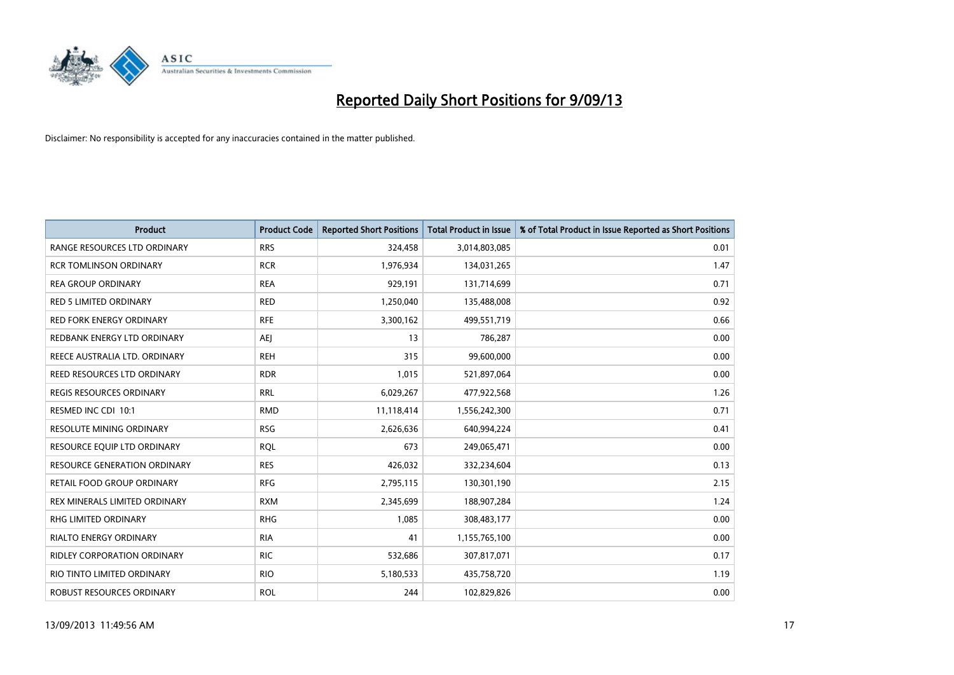

| <b>Product</b>                  | <b>Product Code</b> | <b>Reported Short Positions</b> | <b>Total Product in Issue</b> | % of Total Product in Issue Reported as Short Positions |
|---------------------------------|---------------------|---------------------------------|-------------------------------|---------------------------------------------------------|
| RANGE RESOURCES LTD ORDINARY    | <b>RRS</b>          | 324,458                         | 3,014,803,085                 | 0.01                                                    |
| <b>RCR TOMLINSON ORDINARY</b>   | <b>RCR</b>          | 1,976,934                       | 134,031,265                   | 1.47                                                    |
| <b>REA GROUP ORDINARY</b>       | <b>REA</b>          | 929,191                         | 131,714,699                   | 0.71                                                    |
| RED 5 LIMITED ORDINARY          | <b>RED</b>          | 1,250,040                       | 135,488,008                   | 0.92                                                    |
| <b>RED FORK ENERGY ORDINARY</b> | <b>RFE</b>          | 3,300,162                       | 499,551,719                   | 0.66                                                    |
| REDBANK ENERGY LTD ORDINARY     | <b>AEJ</b>          | 13                              | 786,287                       | 0.00                                                    |
| REECE AUSTRALIA LTD. ORDINARY   | <b>REH</b>          | 315                             | 99,600,000                    | 0.00                                                    |
| REED RESOURCES LTD ORDINARY     | <b>RDR</b>          | 1,015                           | 521,897,064                   | 0.00                                                    |
| <b>REGIS RESOURCES ORDINARY</b> | <b>RRL</b>          | 6,029,267                       | 477,922,568                   | 1.26                                                    |
| RESMED INC CDI 10:1             | <b>RMD</b>          | 11,118,414                      | 1,556,242,300                 | 0.71                                                    |
| RESOLUTE MINING ORDINARY        | <b>RSG</b>          | 2,626,636                       | 640,994,224                   | 0.41                                                    |
| RESOURCE EQUIP LTD ORDINARY     | <b>RQL</b>          | 673                             | 249,065,471                   | 0.00                                                    |
| RESOURCE GENERATION ORDINARY    | <b>RES</b>          | 426,032                         | 332,234,604                   | 0.13                                                    |
| RETAIL FOOD GROUP ORDINARY      | <b>RFG</b>          | 2,795,115                       | 130,301,190                   | 2.15                                                    |
| REX MINERALS LIMITED ORDINARY   | <b>RXM</b>          | 2,345,699                       | 188,907,284                   | 1.24                                                    |
| RHG LIMITED ORDINARY            | <b>RHG</b>          | 1,085                           | 308,483,177                   | 0.00                                                    |
| RIALTO ENERGY ORDINARY          | <b>RIA</b>          | 41                              | 1,155,765,100                 | 0.00                                                    |
| RIDLEY CORPORATION ORDINARY     | <b>RIC</b>          | 532,686                         | 307,817,071                   | 0.17                                                    |
| RIO TINTO LIMITED ORDINARY      | <b>RIO</b>          | 5,180,533                       | 435,758,720                   | 1.19                                                    |
| ROBUST RESOURCES ORDINARY       | <b>ROL</b>          | 244                             | 102,829,826                   | 0.00                                                    |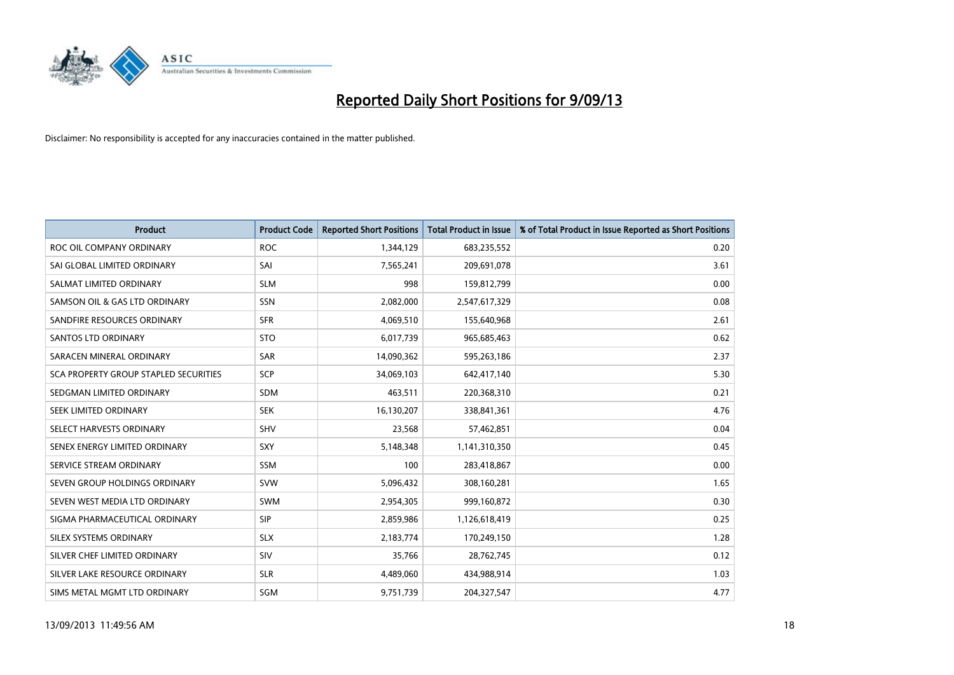

| <b>Product</b>                        | <b>Product Code</b> | <b>Reported Short Positions</b> | <b>Total Product in Issue</b> | % of Total Product in Issue Reported as Short Positions |
|---------------------------------------|---------------------|---------------------------------|-------------------------------|---------------------------------------------------------|
| ROC OIL COMPANY ORDINARY              | <b>ROC</b>          | 1,344,129                       | 683,235,552                   | 0.20                                                    |
| SAI GLOBAL LIMITED ORDINARY           | SAI                 | 7,565,241                       | 209,691,078                   | 3.61                                                    |
| SALMAT LIMITED ORDINARY               | <b>SLM</b>          | 998                             | 159,812,799                   | 0.00                                                    |
| SAMSON OIL & GAS LTD ORDINARY         | SSN                 | 2,082,000                       | 2,547,617,329                 | 0.08                                                    |
| SANDFIRE RESOURCES ORDINARY           | <b>SFR</b>          | 4,069,510                       | 155,640,968                   | 2.61                                                    |
| SANTOS LTD ORDINARY                   | <b>STO</b>          | 6,017,739                       | 965,685,463                   | 0.62                                                    |
| SARACEN MINERAL ORDINARY              | <b>SAR</b>          | 14,090,362                      | 595,263,186                   | 2.37                                                    |
| SCA PROPERTY GROUP STAPLED SECURITIES | <b>SCP</b>          | 34,069,103                      | 642,417,140                   | 5.30                                                    |
| SEDGMAN LIMITED ORDINARY              | <b>SDM</b>          | 463,511                         | 220,368,310                   | 0.21                                                    |
| SEEK LIMITED ORDINARY                 | <b>SEK</b>          | 16,130,207                      | 338,841,361                   | 4.76                                                    |
| SELECT HARVESTS ORDINARY              | SHV                 | 23,568                          | 57,462,851                    | 0.04                                                    |
| SENEX ENERGY LIMITED ORDINARY         | <b>SXY</b>          | 5,148,348                       | 1,141,310,350                 | 0.45                                                    |
| SERVICE STREAM ORDINARY               | SSM                 | 100                             | 283,418,867                   | 0.00                                                    |
| SEVEN GROUP HOLDINGS ORDINARY         | <b>SVW</b>          | 5,096,432                       | 308,160,281                   | 1.65                                                    |
| SEVEN WEST MEDIA LTD ORDINARY         | <b>SWM</b>          | 2,954,305                       | 999,160,872                   | 0.30                                                    |
| SIGMA PHARMACEUTICAL ORDINARY         | <b>SIP</b>          | 2,859,986                       | 1,126,618,419                 | 0.25                                                    |
| SILEX SYSTEMS ORDINARY                | <b>SLX</b>          | 2,183,774                       | 170,249,150                   | 1.28                                                    |
| SILVER CHEF LIMITED ORDINARY          | <b>SIV</b>          | 35,766                          | 28,762,745                    | 0.12                                                    |
| SILVER LAKE RESOURCE ORDINARY         | <b>SLR</b>          | 4,489,060                       | 434,988,914                   | 1.03                                                    |
| SIMS METAL MGMT LTD ORDINARY          | SGM                 | 9,751,739                       | 204,327,547                   | 4.77                                                    |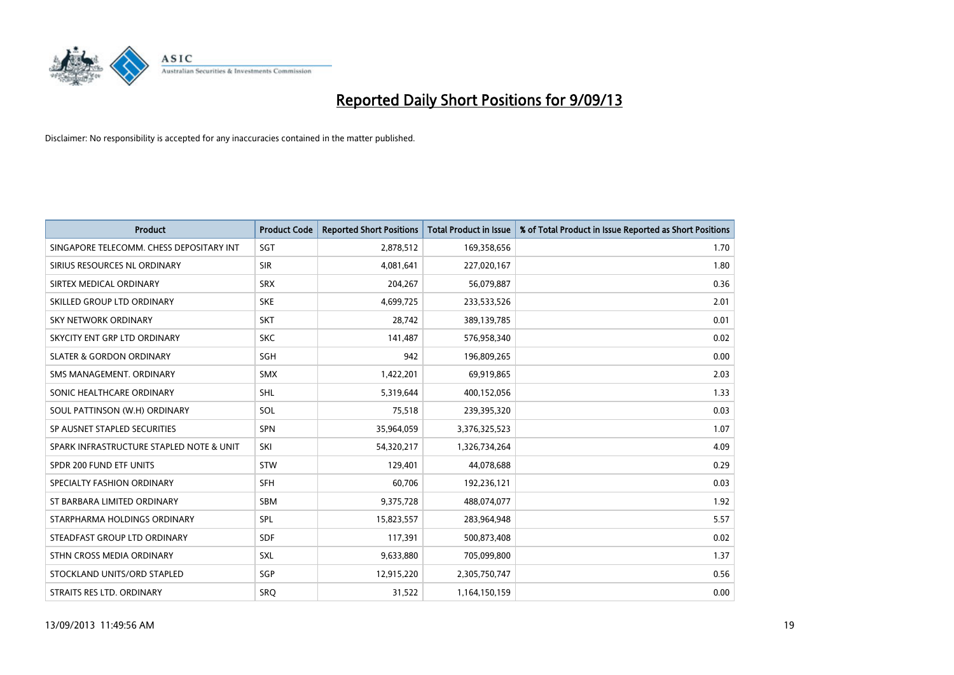

| <b>Product</b>                           | <b>Product Code</b> | <b>Reported Short Positions</b> | <b>Total Product in Issue</b> | % of Total Product in Issue Reported as Short Positions |
|------------------------------------------|---------------------|---------------------------------|-------------------------------|---------------------------------------------------------|
| SINGAPORE TELECOMM. CHESS DEPOSITARY INT | SGT                 | 2,878,512                       | 169,358,656                   | 1.70                                                    |
| SIRIUS RESOURCES NL ORDINARY             | <b>SIR</b>          | 4,081,641                       | 227,020,167                   | 1.80                                                    |
| SIRTEX MEDICAL ORDINARY                  | <b>SRX</b>          | 204,267                         | 56,079,887                    | 0.36                                                    |
| SKILLED GROUP LTD ORDINARY               | <b>SKE</b>          | 4,699,725                       | 233,533,526                   | 2.01                                                    |
| <b>SKY NETWORK ORDINARY</b>              | <b>SKT</b>          | 28,742                          | 389,139,785                   | 0.01                                                    |
| SKYCITY ENT GRP LTD ORDINARY             | <b>SKC</b>          | 141,487                         | 576,958,340                   | 0.02                                                    |
| <b>SLATER &amp; GORDON ORDINARY</b>      | SGH                 | 942                             | 196,809,265                   | 0.00                                                    |
| SMS MANAGEMENT, ORDINARY                 | <b>SMX</b>          | 1,422,201                       | 69,919,865                    | 2.03                                                    |
| SONIC HEALTHCARE ORDINARY                | <b>SHL</b>          | 5,319,644                       | 400,152,056                   | 1.33                                                    |
| SOUL PATTINSON (W.H) ORDINARY            | SOL                 | 75,518                          | 239,395,320                   | 0.03                                                    |
| SP AUSNET STAPLED SECURITIES             | <b>SPN</b>          | 35,964,059                      | 3,376,325,523                 | 1.07                                                    |
| SPARK INFRASTRUCTURE STAPLED NOTE & UNIT | SKI                 | 54,320,217                      | 1,326,734,264                 | 4.09                                                    |
| SPDR 200 FUND ETF UNITS                  | <b>STW</b>          | 129,401                         | 44,078,688                    | 0.29                                                    |
| SPECIALTY FASHION ORDINARY               | <b>SFH</b>          | 60,706                          | 192,236,121                   | 0.03                                                    |
| ST BARBARA LIMITED ORDINARY              | <b>SBM</b>          | 9,375,728                       | 488,074,077                   | 1.92                                                    |
| STARPHARMA HOLDINGS ORDINARY             | <b>SPL</b>          | 15,823,557                      | 283,964,948                   | 5.57                                                    |
| STEADFAST GROUP LTD ORDINARY             | <b>SDF</b>          | 117,391                         | 500,873,408                   | 0.02                                                    |
| STHN CROSS MEDIA ORDINARY                | SXL                 | 9,633,880                       | 705,099,800                   | 1.37                                                    |
| STOCKLAND UNITS/ORD STAPLED              | SGP                 | 12,915,220                      | 2,305,750,747                 | 0.56                                                    |
| STRAITS RES LTD. ORDINARY                | <b>SRQ</b>          | 31,522                          | 1,164,150,159                 | 0.00                                                    |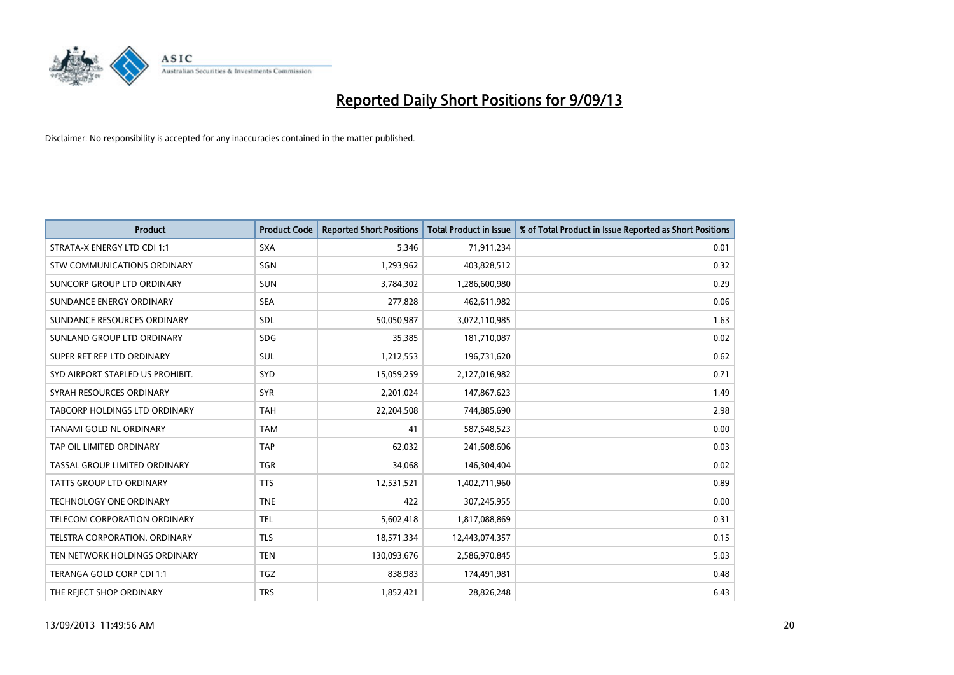

| <b>Product</b>                   | <b>Product Code</b> | <b>Reported Short Positions</b> | <b>Total Product in Issue</b> | % of Total Product in Issue Reported as Short Positions |
|----------------------------------|---------------------|---------------------------------|-------------------------------|---------------------------------------------------------|
| STRATA-X ENERGY LTD CDI 1:1      | <b>SXA</b>          | 5,346                           | 71,911,234                    | 0.01                                                    |
| STW COMMUNICATIONS ORDINARY      | SGN                 | 1,293,962                       | 403,828,512                   | 0.32                                                    |
| SUNCORP GROUP LTD ORDINARY       | <b>SUN</b>          | 3,784,302                       | 1,286,600,980                 | 0.29                                                    |
| SUNDANCE ENERGY ORDINARY         | <b>SEA</b>          | 277,828                         | 462,611,982                   | 0.06                                                    |
| SUNDANCE RESOURCES ORDINARY      | SDL                 | 50,050,987                      | 3,072,110,985                 | 1.63                                                    |
| SUNLAND GROUP LTD ORDINARY       | <b>SDG</b>          | 35,385                          | 181,710,087                   | 0.02                                                    |
| SUPER RET REP LTD ORDINARY       | SUL                 | 1,212,553                       | 196,731,620                   | 0.62                                                    |
| SYD AIRPORT STAPLED US PROHIBIT. | <b>SYD</b>          | 15,059,259                      | 2,127,016,982                 | 0.71                                                    |
| SYRAH RESOURCES ORDINARY         | <b>SYR</b>          | 2,201,024                       | 147,867,623                   | 1.49                                                    |
| TABCORP HOLDINGS LTD ORDINARY    | <b>TAH</b>          | 22,204,508                      | 744,885,690                   | 2.98                                                    |
| TANAMI GOLD NL ORDINARY          | <b>TAM</b>          | 41                              | 587,548,523                   | 0.00                                                    |
| TAP OIL LIMITED ORDINARY         | <b>TAP</b>          | 62,032                          | 241,608,606                   | 0.03                                                    |
| TASSAL GROUP LIMITED ORDINARY    | <b>TGR</b>          | 34,068                          | 146,304,404                   | 0.02                                                    |
| <b>TATTS GROUP LTD ORDINARY</b>  | <b>TTS</b>          | 12,531,521                      | 1,402,711,960                 | 0.89                                                    |
| TECHNOLOGY ONE ORDINARY          | <b>TNE</b>          | 422                             | 307,245,955                   | 0.00                                                    |
| TELECOM CORPORATION ORDINARY     | <b>TEL</b>          | 5,602,418                       | 1,817,088,869                 | 0.31                                                    |
| TELSTRA CORPORATION. ORDINARY    | <b>TLS</b>          | 18,571,334                      | 12,443,074,357                | 0.15                                                    |
| TEN NETWORK HOLDINGS ORDINARY    | <b>TEN</b>          | 130,093,676                     | 2,586,970,845                 | 5.03                                                    |
| TERANGA GOLD CORP CDI 1:1        | <b>TGZ</b>          | 838,983                         | 174,491,981                   | 0.48                                                    |
| THE REJECT SHOP ORDINARY         | <b>TRS</b>          | 1,852,421                       | 28,826,248                    | 6.43                                                    |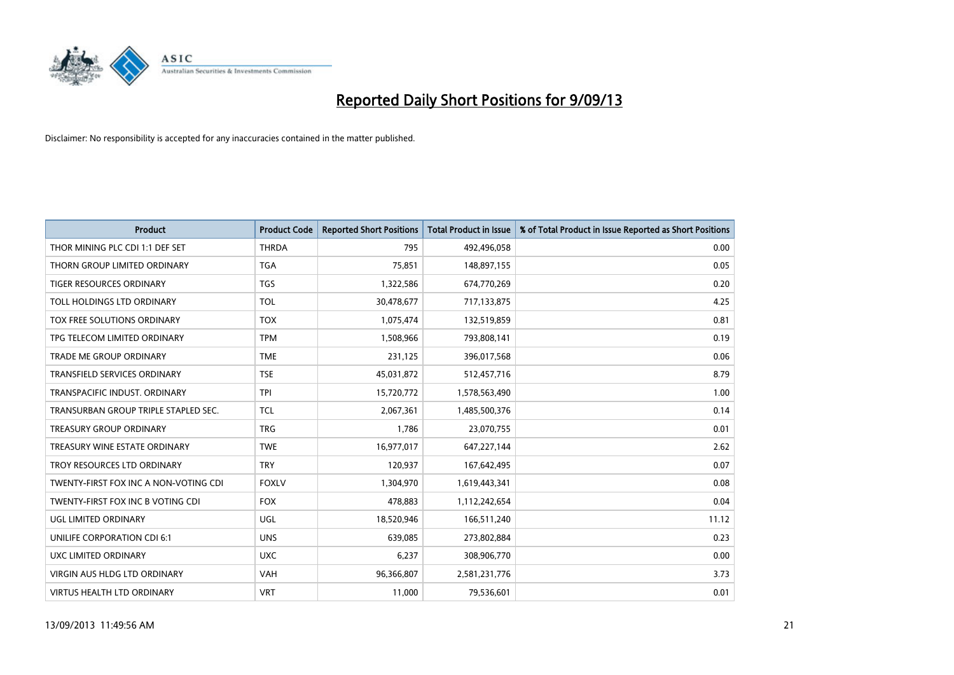

| <b>Product</b>                        | <b>Product Code</b> | <b>Reported Short Positions</b> | <b>Total Product in Issue</b> | % of Total Product in Issue Reported as Short Positions |
|---------------------------------------|---------------------|---------------------------------|-------------------------------|---------------------------------------------------------|
| THOR MINING PLC CDI 1:1 DEF SET       | <b>THRDA</b>        | 795                             | 492,496,058                   | 0.00                                                    |
| THORN GROUP LIMITED ORDINARY          | <b>TGA</b>          | 75,851                          | 148,897,155                   | 0.05                                                    |
| TIGER RESOURCES ORDINARY              | TGS                 | 1,322,586                       | 674,770,269                   | 0.20                                                    |
| TOLL HOLDINGS LTD ORDINARY            | <b>TOL</b>          | 30,478,677                      | 717,133,875                   | 4.25                                                    |
| TOX FREE SOLUTIONS ORDINARY           | <b>TOX</b>          | 1,075,474                       | 132,519,859                   | 0.81                                                    |
| TPG TELECOM LIMITED ORDINARY          | <b>TPM</b>          | 1,508,966                       | 793,808,141                   | 0.19                                                    |
| TRADE ME GROUP ORDINARY               | <b>TME</b>          | 231,125                         | 396,017,568                   | 0.06                                                    |
| TRANSFIELD SERVICES ORDINARY          | <b>TSE</b>          | 45,031,872                      | 512,457,716                   | 8.79                                                    |
| TRANSPACIFIC INDUST. ORDINARY         | <b>TPI</b>          | 15,720,772                      | 1,578,563,490                 | 1.00                                                    |
| TRANSURBAN GROUP TRIPLE STAPLED SEC.  | <b>TCL</b>          | 2,067,361                       | 1,485,500,376                 | 0.14                                                    |
| <b>TREASURY GROUP ORDINARY</b>        | <b>TRG</b>          | 1,786                           | 23,070,755                    | 0.01                                                    |
| TREASURY WINE ESTATE ORDINARY         | <b>TWE</b>          | 16,977,017                      | 647,227,144                   | 2.62                                                    |
| TROY RESOURCES LTD ORDINARY           | <b>TRY</b>          | 120,937                         | 167,642,495                   | 0.07                                                    |
| TWENTY-FIRST FOX INC A NON-VOTING CDI | <b>FOXLV</b>        | 1,304,970                       | 1,619,443,341                 | 0.08                                                    |
| TWENTY-FIRST FOX INC B VOTING CDI     | <b>FOX</b>          | 478,883                         | 1,112,242,654                 | 0.04                                                    |
| UGL LIMITED ORDINARY                  | UGL                 | 18,520,946                      | 166,511,240                   | 11.12                                                   |
| UNILIFE CORPORATION CDI 6:1           | <b>UNS</b>          | 639,085                         | 273,802,884                   | 0.23                                                    |
| UXC LIMITED ORDINARY                  | <b>UXC</b>          | 6,237                           | 308,906,770                   | 0.00                                                    |
| <b>VIRGIN AUS HLDG LTD ORDINARY</b>   | <b>VAH</b>          | 96,366,807                      | 2,581,231,776                 | 3.73                                                    |
| <b>VIRTUS HEALTH LTD ORDINARY</b>     | <b>VRT</b>          | 11,000                          | 79,536,601                    | 0.01                                                    |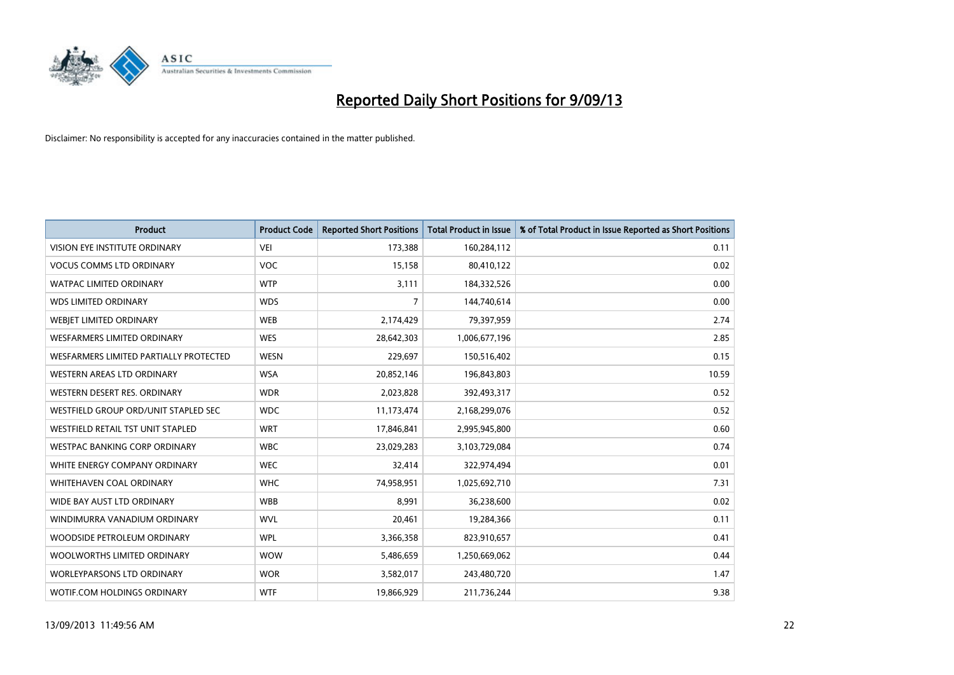

| <b>Product</b>                         | <b>Product Code</b> | <b>Reported Short Positions</b> | <b>Total Product in Issue</b> | % of Total Product in Issue Reported as Short Positions |
|----------------------------------------|---------------------|---------------------------------|-------------------------------|---------------------------------------------------------|
| VISION EYE INSTITUTE ORDINARY          | <b>VEI</b>          | 173,388                         | 160,284,112                   | 0.11                                                    |
| <b>VOCUS COMMS LTD ORDINARY</b>        | VOC                 | 15,158                          | 80,410,122                    | 0.02                                                    |
| <b>WATPAC LIMITED ORDINARY</b>         | <b>WTP</b>          | 3,111                           | 184,332,526                   | 0.00                                                    |
| <b>WDS LIMITED ORDINARY</b>            | <b>WDS</b>          | 7                               | 144,740,614                   | 0.00                                                    |
| WEBIET LIMITED ORDINARY                | <b>WEB</b>          | 2,174,429                       | 79,397,959                    | 2.74                                                    |
| <b>WESFARMERS LIMITED ORDINARY</b>     | <b>WES</b>          | 28,642,303                      | 1,006,677,196                 | 2.85                                                    |
| WESFARMERS LIMITED PARTIALLY PROTECTED | <b>WESN</b>         | 229,697                         | 150,516,402                   | 0.15                                                    |
| WESTERN AREAS LTD ORDINARY             | <b>WSA</b>          | 20,852,146                      | 196,843,803                   | 10.59                                                   |
| WESTERN DESERT RES. ORDINARY           | <b>WDR</b>          | 2,023,828                       | 392,493,317                   | 0.52                                                    |
| WESTFIELD GROUP ORD/UNIT STAPLED SEC   | <b>WDC</b>          | 11,173,474                      | 2,168,299,076                 | 0.52                                                    |
| WESTFIELD RETAIL TST UNIT STAPLED      | <b>WRT</b>          | 17,846,841                      | 2,995,945,800                 | 0.60                                                    |
| <b>WESTPAC BANKING CORP ORDINARY</b>   | <b>WBC</b>          | 23,029,283                      | 3,103,729,084                 | 0.74                                                    |
| WHITE ENERGY COMPANY ORDINARY          | <b>WEC</b>          | 32,414                          | 322,974,494                   | 0.01                                                    |
| WHITEHAVEN COAL ORDINARY               | <b>WHC</b>          | 74,958,951                      | 1,025,692,710                 | 7.31                                                    |
| WIDE BAY AUST LTD ORDINARY             | <b>WBB</b>          | 8,991                           | 36,238,600                    | 0.02                                                    |
| WINDIMURRA VANADIUM ORDINARY           | <b>WVL</b>          | 20,461                          | 19,284,366                    | 0.11                                                    |
| WOODSIDE PETROLEUM ORDINARY            | <b>WPL</b>          | 3,366,358                       | 823,910,657                   | 0.41                                                    |
| WOOLWORTHS LIMITED ORDINARY            | <b>WOW</b>          | 5,486,659                       | 1,250,669,062                 | 0.44                                                    |
| <b>WORLEYPARSONS LTD ORDINARY</b>      | <b>WOR</b>          | 3,582,017                       | 243,480,720                   | 1.47                                                    |
| WOTIF.COM HOLDINGS ORDINARY            | <b>WTF</b>          | 19,866,929                      | 211,736,244                   | 9.38                                                    |